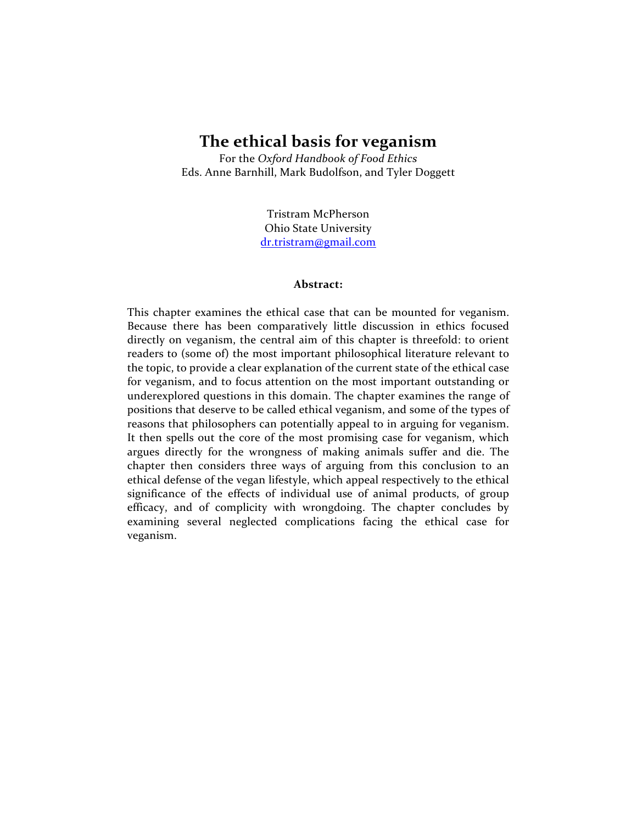# **The ethical basis for veganism**

For the *Oxford Handbook of Food Ethics* Eds. Anne Barnhill, Mark Budolfson, and Tyler Doggett

> Tristram McPherson Ohio State University dr.tristram@gmail.com

#### **Abstract:**

This chapter examines the ethical case that can be mounted for veganism. Because there has been comparatively little discussion in ethics focused directly on veganism, the central aim of this chapter is threefold: to orient readers to (some of) the most important philosophical literature relevant to the topic, to provide a clear explanation of the current state of the ethical case for veganism, and to focus attention on the most important outstanding or underexplored questions in this domain. The chapter examines the range of positions that deserve to be called ethical veganism, and some of the types of reasons that philosophers can potentially appeal to in arguing for veganism. It then spells out the core of the most promising case for veganism, which argues directly for the wrongness of making animals suffer and die. The chapter then considers three ways of arguing from this conclusion to an ethical defense of the vegan lifestyle, which appeal respectively to the ethical significance of the effects of individual use of animal products, of group efficacy, and of complicity with wrongdoing. The chapter concludes by examining several neglected complications facing the ethical case for veganism.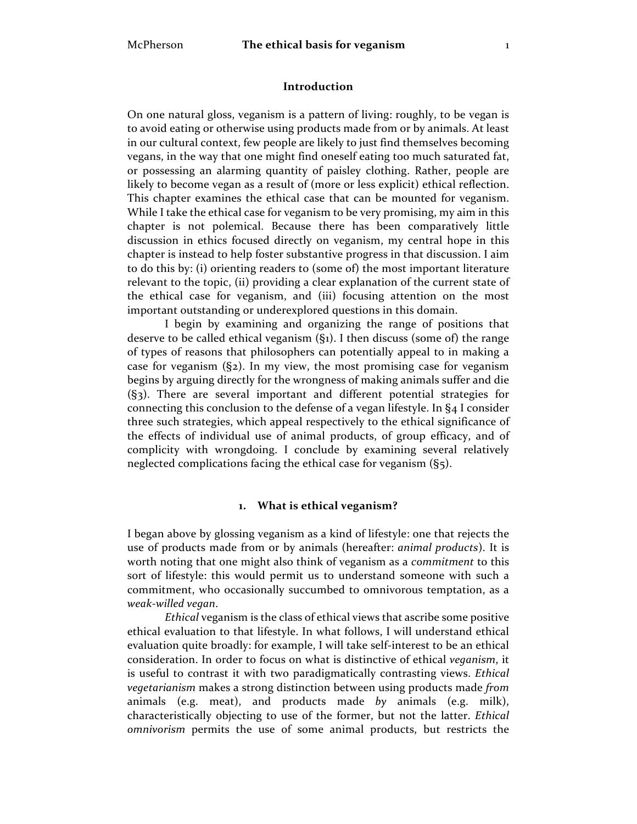## **Introduction**

On one natural gloss, veganism is a pattern of living: roughly, to be vegan is to avoid eating or otherwise using products made from or by animals. At least in our cultural context, few people are likely to just find themselves becoming vegans, in the way that one might find oneself eating too much saturated fat, or possessing an alarming quantity of paisley clothing. Rather, people are likely to become vegan as a result of (more or less explicit) ethical reflection. This chapter examines the ethical case that can be mounted for veganism. While I take the ethical case for veganism to be very promising, my aim in this chapter is not polemical. Because there has been comparatively little discussion in ethics focused directly on veganism, my central hope in this chapter is instead to help foster substantive progress in that discussion. I aim to do this by: (i) orienting readers to (some of) the most important literature relevant to the topic, (ii) providing a clear explanation of the current state of the ethical case for veganism, and (iii) focusing attention on the most important outstanding or underexplored questions in this domain.

I begin by examining and organizing the range of positions that deserve to be called ethical veganism (§1). I then discuss (some of) the range of types of reasons that philosophers can potentially appeal to in making a case for veganism (§2). In my view, the most promising case for veganism begins by arguing directly for the wrongness of making animals suffer and die (§3). There are several important and different potential strategies for connecting this conclusion to the defense of a vegan lifestyle. In §4 I consider three such strategies, which appeal respectively to the ethical significance of the effects of individual use of animal products, of group efficacy, and of complicity with wrongdoing. I conclude by examining several relatively neglected complications facing the ethical case for veganism (§5).

### **1. What is ethical veganism?**

I began above by glossing veganism as a kind of lifestyle: one that rejects the use of products made from or by animals (hereafter: *animal products*). It is worth noting that one might also think of veganism as a *commitment* to this sort of lifestyle: this would permit us to understand someone with such a commitment, who occasionally succumbed to omnivorous temptation, as a *weak-willed vegan*.

*Ethical* veganism is the class of ethical views that ascribe some positive ethical evaluation to that lifestyle. In what follows, I will understand ethical evaluation quite broadly: for example, I will take self-interest to be an ethical consideration. In order to focus on what is distinctive of ethical *veganism*, it is useful to contrast it with two paradigmatically contrasting views. *Ethical vegetarianism* makes a strong distinction between using products made *from*  animals (e.g. meat), and products made *by* animals (e.g. milk), characteristically objecting to use of the former, but not the latter. *Ethical omnivorism* permits the use of some animal products, but restricts the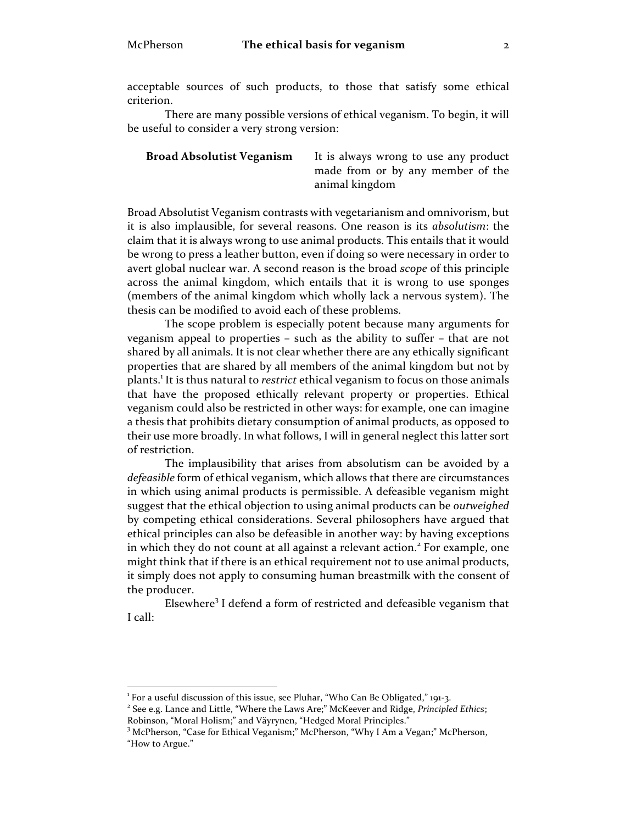acceptable sources of such products, to those that satisfy some ethical criterion.

There are many possible versions of ethical veganism. To begin, it will be useful to consider a very strong version:

**Broad Absolutist Veganism** It is always wrong to use any product made from or by any member of the animal kingdom

Broad Absolutist Veganism contrasts with vegetarianism and omnivorism, but it is also implausible, for several reasons. One reason is its *absolutism*: the claim that it is always wrong to use animal products. This entails that it would be wrong to press a leather button, even if doing so were necessary in order to avert global nuclear war. A second reason is the broad *scope* of this principle across the animal kingdom, which entails that it is wrong to use sponges (members of the animal kingdom which wholly lack a nervous system). The thesis can be modified to avoid each of these problems.

The scope problem is especially potent because many arguments for veganism appeal to properties – such as the ability to suffer – that are not shared by all animals. It is not clear whether there are any ethically significant properties that are shared by all members of the animal kingdom but not by plants.<sup>1</sup> It is thus natural to *restrict* ethical veganism to focus on those animals that have the proposed ethically relevant property or properties. Ethical veganism could also be restricted in other ways: for example, one can imagine a thesis that prohibits dietary consumption of animal products, as opposed to their use more broadly. In what follows, I will in general neglect this latter sort of restriction.

The implausibility that arises from absolutism can be avoided by a *defeasible* form of ethical veganism, which allows that there are circumstances in which using animal products is permissible. A defeasible veganism might suggest that the ethical objection to using animal products can be *outweighed*  by competing ethical considerations. Several philosophers have argued that ethical principles can also be defeasible in another way: by having exceptions in which they do not count at all against a relevant action.<sup>2</sup> For example, one might think that if there is an ethical requirement not to use animal products, it simply does not apply to consuming human breastmilk with the consent of the producer.

Elsewhere<sup>3</sup> I defend a form of restricted and defeasible veganism that I call:

<sup>|&</sup>lt;br>1

<sup>&</sup>lt;sup>1</sup> For a useful discussion of this issue, see Pluhar, "Who Can Be Obligated," 191-3.<br><sup>2</sup> See e.g. Lance and Little, "Where the Laws Are;" McKeever and Ridge, *Principled Ethics*; Robinson, "Moral Holism;" and Väyrynen, "Hedged Moral Principles."

<sup>&</sup>lt;sup>3</sup> McPherson, "Case for Ethical Veganism;" McPherson, "Why I Am a Vegan;" McPherson, "How to Argue."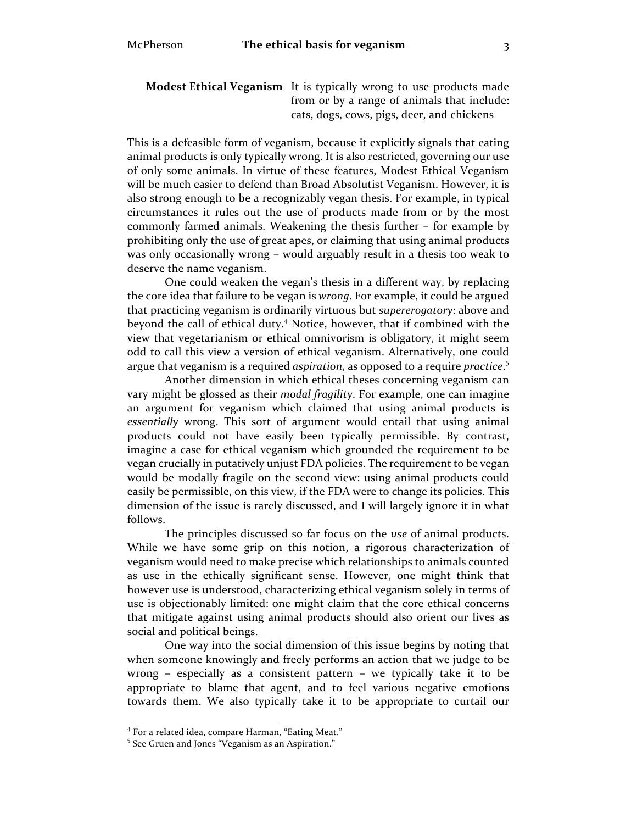**Modest Ethical Veganism** It is typically wrong to use products made from or by a range of animals that include: cats, dogs, cows, pigs, deer, and chickens

This is a defeasible form of veganism, because it explicitly signals that eating animal products is only typically wrong. It is also restricted, governing our use of only some animals. In virtue of these features, Modest Ethical Veganism will be much easier to defend than Broad Absolutist Veganism. However, it is also strong enough to be a recognizably vegan thesis. For example, in typical circumstances it rules out the use of products made from or by the most commonly farmed animals. Weakening the thesis further – for example by prohibiting only the use of great apes, or claiming that using animal products was only occasionally wrong – would arguably result in a thesis too weak to deserve the name veganism.

One could weaken the vegan's thesis in a different way, by replacing the core idea that failure to be vegan is *wrong*. For example, it could be argued that practicing veganism is ordinarily virtuous but *supererogatory*: above and beyond the call of ethical duty.<sup>4</sup> Notice, however, that if combined with the view that vegetarianism or ethical omnivorism is obligatory, it might seem odd to call this view a version of ethical veganism. Alternatively, one could argue that veganism is a required *aspiration*, as opposed to a require *practice*. 5

Another dimension in which ethical theses concerning veganism can vary might be glossed as their *modal fragility*. For example, one can imagine an argument for veganism which claimed that using animal products is *essentially* wrong. This sort of argument would entail that using animal products could not have easily been typically permissible. By contrast, imagine a case for ethical veganism which grounded the requirement to be vegan crucially in putatively unjust FDA policies. The requirement to be vegan would be modally fragile on the second view: using animal products could easily be permissible, on this view, if the FDA were to change its policies. This dimension of the issue is rarely discussed, and I will largely ignore it in what follows.

The principles discussed so far focus on the *use* of animal products. While we have some grip on this notion, a rigorous characterization of veganism would need to make precise which relationships to animals counted as use in the ethically significant sense. However, one might think that however use is understood, characterizing ethical veganism solely in terms of use is objectionably limited: one might claim that the core ethical concerns that mitigate against using animal products should also orient our lives as social and political beings.

One way into the social dimension of this issue begins by noting that when someone knowingly and freely performs an action that we judge to be wrong – especially as a consistent pattern – we typically take it to be appropriate to blame that agent, and to feel various negative emotions towards them. We also typically take it to be appropriate to curtail our

 $^4$  For a related idea, compare Harman, "Eating Meat."  $^5$  See Gruen and Jones "Veganism as an Aspiration."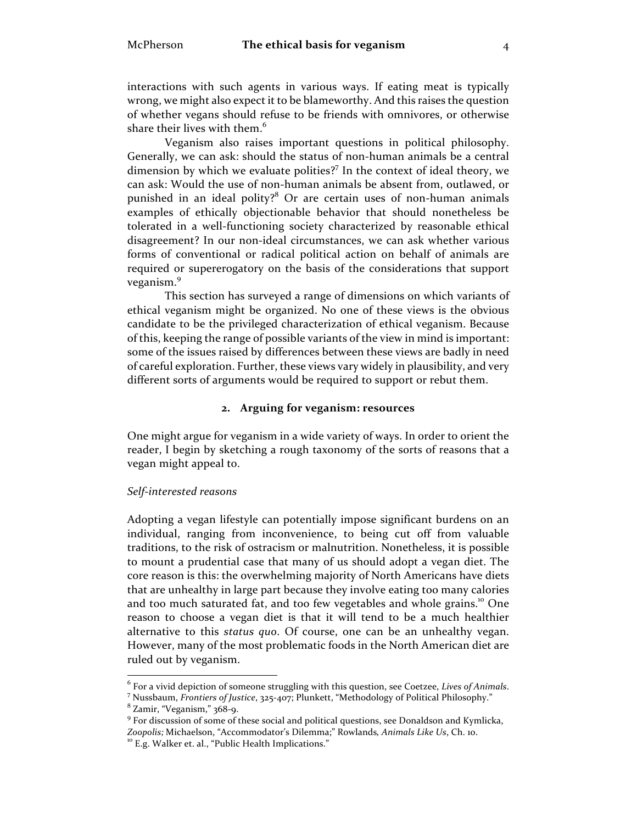### McPherson **The ethical basis for veganism** 4

interactions with such agents in various ways. If eating meat is typically wrong, we might also expect it to be blameworthy. And this raises the question of whether vegans should refuse to be friends with omnivores, or otherwise share their lives with them. $^6$ 

Veganism also raises important questions in political philosophy. Generally, we can ask: should the status of non-human animals be a central dimension by which we evaluate polities? <sup>7</sup> In the context of ideal theory, we can ask: Would the use of non-human animals be absent from, outlawed, or punished in an ideal polity?<sup>8</sup> Or are certain uses of non-human animals examples of ethically objectionable behavior that should nonetheless be tolerated in a well-functioning society characterized by reasonable ethical disagreement? In our non-ideal circumstances, we can ask whether various forms of conventional or radical political action on behalf of animals are required or supererogatory on the basis of the considerations that support veganism.<sup>9</sup>

This section has surveyed a range of dimensions on which variants of ethical veganism might be organized. No one of these views is the obvious candidate to be the privileged characterization of ethical veganism. Because of this, keeping the range of possible variants of the view in mind is important: some of the issues raised by differences between these views are badly in need of careful exploration. Further, these views vary widely in plausibility, and very different sorts of arguments would be required to support or rebut them.

## **2. Arguing for veganism: resources**

One might argue for veganism in a wide variety of ways. In order to orient the reader, I begin by sketching a rough taxonomy of the sorts of reasons that a vegan might appeal to.

#### *Self-interested reasons*

Adopting a vegan lifestyle can potentially impose significant burdens on an individual, ranging from inconvenience, to being cut off from valuable traditions, to the risk of ostracism or malnutrition. Nonetheless, it is possible to mount a prudential case that many of us should adopt a vegan diet. The core reason is this: the overwhelming majority of North Americans have diets that are unhealthy in large part because they involve eating too many calories and too much saturated fat, and too few vegetables and whole grains.<sup>10</sup> One reason to choose a vegan diet is that it will tend to be a much healthier alternative to this *status quo*. Of course, one can be an unhealthy vegan. However, many of the most problematic foods in the North American diet are ruled out by veganism.

 $^6$  For a vivid depiction of some<br>one struggling with this question, see Coetzee, Lives of Animals.<br>  $^7$  Nussbaum, Frontiers of Justice, 325-407; Plunkett, "Methodology of Political Philosophy."<br>  $^8$  Zamir, "Veganism,"

*Zoopolis;* Michaelson, "Accommodator's Dilemma;" Rowlands*, Animals Like Us*, Ch. 10. <sup>10</sup> E.g. Walker et. al., "Public Health Implications."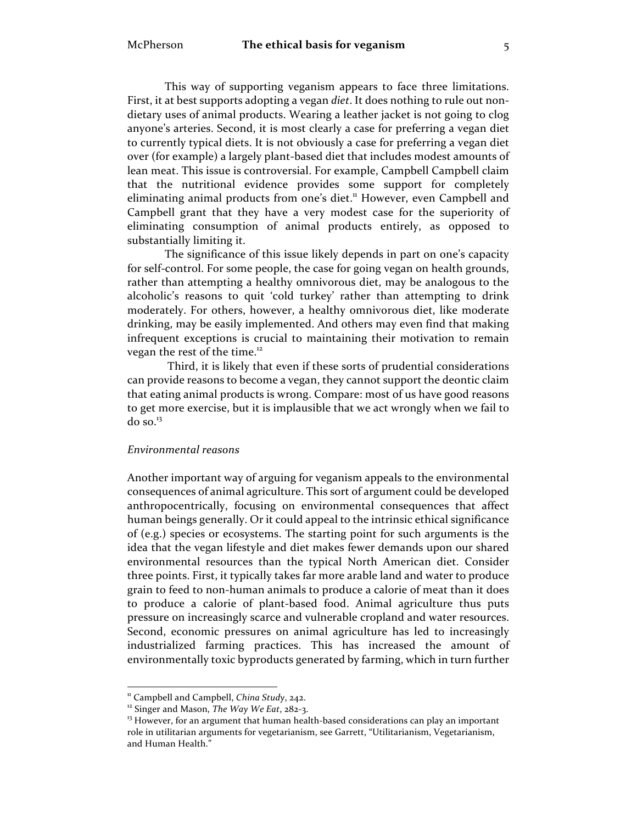This way of supporting veganism appears to face three limitations. First, it at best supports adopting a vegan *diet*. It does nothing to rule out nondietary uses of animal products. Wearing a leather jacket is not going to clog anyone's arteries. Second, it is most clearly a case for preferring a vegan diet to currently typical diets. It is not obviously a case for preferring a vegan diet over (for example) a largely plant-based diet that includes modest amounts of lean meat. This issue is controversial. For example, Campbell Campbell claim that the nutritional evidence provides some support for completely eliminating animal products from one's diet.<sup>11</sup> However, even Campbell and Campbell grant that they have a very modest case for the superiority of eliminating consumption of animal products entirely, as opposed to substantially limiting it.

The significance of this issue likely depends in part on one's capacity for self-control. For some people, the case for going vegan on health grounds, rather than attempting a healthy omnivorous diet, may be analogous to the alcoholic's reasons to quit 'cold turkey' rather than attempting to drink moderately. For others, however, a healthy omnivorous diet, like moderate drinking, may be easily implemented. And others may even find that making infrequent exceptions is crucial to maintaining their motivation to remain vegan the rest of the time.<sup>12</sup>

Third, it is likely that even if these sorts of prudential considerations can provide reasons to become a vegan, they cannot support the deontic claim that eating animal products is wrong. Compare: most of us have good reasons to get more exercise, but it is implausible that we act wrongly when we fail to do so. 13

#### *Environmental reasons*

Another important way of arguing for veganism appeals to the environmental consequences of animal agriculture. This sort of argument could be developed anthropocentrically, focusing on environmental consequences that affect human beings generally. Or it could appeal to the intrinsic ethical significance of (e.g.) species or ecosystems. The starting point for such arguments is the idea that the vegan lifestyle and diet makes fewer demands upon our shared environmental resources than the typical North American diet. Consider three points. First, it typically takes far more arable land and water to produce grain to feed to non-human animals to produce a calorie of meat than it does to produce a calorie of plant-based food. Animal agriculture thus puts pressure on increasingly scarce and vulnerable cropland and water resources. Second, economic pressures on animal agriculture has led to increasingly industrialized farming practices. This has increased the amount of environmentally toxic byproducts generated by farming, which in turn further

<sup>&</sup>lt;sup>11</sup> Campbell and Campbell, *China Study*, 242.<br><sup>12</sup> Singer and Mason, *The Way We Eat*, 282-3.<br><sup>13</sup> However, for an argument that human health-based considerations can play an important role in utilitarian arguments for vegetarianism, see Garrett, "Utilitarianism, Vegetarianism, and Human Health."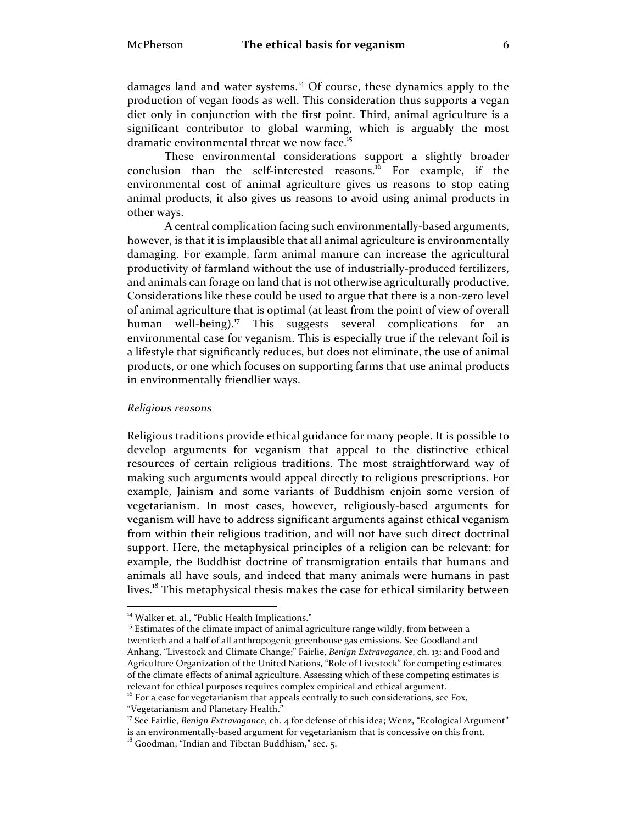damages land and water systems.<sup>14</sup> Of course, these dynamics apply to the production of vegan foods as well. This consideration thus supports a vegan diet only in conjunction with the first point. Third, animal agriculture is a significant contributor to global warming, which is arguably the most dramatic environmental threat we now face.<sup>15</sup>

These environmental considerations support a slightly broader conclusion than the self-interested reasons.<sup>16</sup> For example, if the environmental cost of animal agriculture gives us reasons to stop eating animal products, it also gives us reasons to avoid using animal products in other ways.

A central complication facing such environmentally-based arguments, however, is that it is implausible that all animal agriculture is environmentally damaging. For example, farm animal manure can increase the agricultural productivity of farmland without the use of industrially-produced fertilizers, and animals can forage on land that is not otherwise agriculturally productive. Considerations like these could be used to argue that there is a non-zero level of animal agriculture that is optimal (at least from the point of view of overall human well-being). <sup>17</sup> This suggests several complications for an environmental case for veganism. This is especially true if the relevant foil is a lifestyle that significantly reduces, but does not eliminate, the use of animal products, or one which focuses on supporting farms that use animal products in environmentally friendlier ways.

#### *Religious reasons*

Religious traditions provide ethical guidance for many people. It is possible to develop arguments for veganism that appeal to the distinctive ethical resources of certain religious traditions. The most straightforward way of making such arguments would appeal directly to religious prescriptions. For example, Jainism and some variants of Buddhism enjoin some version of vegetarianism. In most cases, however, religiously-based arguments for veganism will have to address significant arguments against ethical veganism from within their religious tradition, and will not have such direct doctrinal support. Here, the metaphysical principles of a religion can be relevant: for example, the Buddhist doctrine of transmigration entails that humans and animals all have souls, and indeed that many animals were humans in past lives.<sup>18</sup> This metaphysical thesis makes the case for ethical similarity between

<sup>&</sup>lt;sup>14</sup> Walker et. al., "Public Health Implications."<br><sup>15</sup> Estimates of the climate impact of animal agriculture range wildly, from between a twentieth and a half of all anthropogenic greenhouse gas emissions. See Goodland and Anhang, "Livestock and Climate Change;" Fairlie, *Benign Extravagance*, ch. 13; and Food and Agriculture Organization of the United Nations, "Role of Livestock" for competing estimates of the climate effects of animal agriculture. Assessing which of these competing estimates is relevant for ethical purposes requires complex empirical and ethical argument.

<sup>&</sup>lt;sup>16</sup> For a case for vegetarianism that appeals centrally to such considerations, see Fox, "Vegetarianism and Planetary Health."

<sup>&</sup>lt;sup>17</sup> See Fairlie, *Benign Extravagance*, ch. 4 for defense of this idea; Wenz, "Ecological Argument" is an environmentally-based argument for vegetarianism that is concessive on this front.  $^{18}$  Goodman, "Indian and Tibetan Buddhism," sec. 5.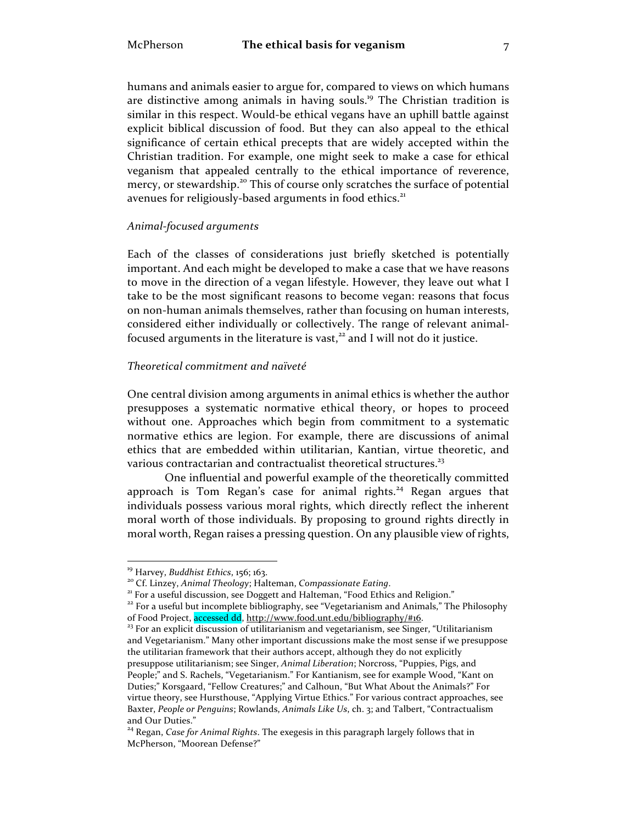humans and animals easier to argue for, compared to views on which humans are distinctive among animals in having souls.<sup>19</sup> The Christian tradition is similar in this respect. Would-be ethical vegans have an uphill battle against explicit biblical discussion of food. But they can also appeal to the ethical significance of certain ethical precepts that are widely accepted within the Christian tradition. For example, one might seek to make a case for ethical veganism that appealed centrally to the ethical importance of reverence, mercy, or stewardship.<sup>20</sup> This of course only scratches the surface of potential avenues for religiously-based arguments in food ethics.<sup>21</sup>

## *Animal-focused arguments*

Each of the classes of considerations just briefly sketched is potentially important. And each might be developed to make a case that we have reasons to move in the direction of a vegan lifestyle. However, they leave out what I take to be the most significant reasons to become vegan: reasons that focus on non-human animals themselves, rather than focusing on human interests, considered either individually or collectively. The range of relevant animalfocused arguments in the literature is vast, $22$  and I will not do it justice.

# *Theoretical commitment and naïveté*

One central division among arguments in animal ethics is whether the author presupposes a systematic normative ethical theory, or hopes to proceed without one. Approaches which begin from commitment to a systematic normative ethics are legion. For example, there are discussions of animal ethics that are embedded within utilitarian, Kantian, virtue theoretic, and various contractarian and contractualist theoretical structures.<sup>23</sup>

One influential and powerful example of the theoretically committed approach is Tom Regan's case for animal rights.<sup>24</sup> Regan argues that individuals possess various moral rights, which directly reflect the inherent moral worth of those individuals. By proposing to ground rights directly in moral worth, Regan raises a pressing question. On any plausible view of rights,

<sup>&</sup>lt;sup>19</sup> Harvey, *Buddhist Ethics*, 156; 163.<br><sup>20</sup> Cf. Linzey, *Animal Theology*; Halteman, *Compassionate Eating*.<br><sup>21</sup> For a useful discussion, see Doggett and Halteman, "Food Ethics and Religion."<br><sup>22</sup> For a useful but inc

 $^{23}$  For an explicit discussion of utilitarianism and vegetarianism, see Singer, "Utilitarianism and Vegetarianism." Many other important discussions make the most sense if we presuppose the utilitarian framework that their authors accept, although they do not explicitly presuppose utilitarianism; see Singer, *Animal Liberation*; Norcross, "Puppies, Pigs, and People;" and S. Rachels, "Vegetarianism." For Kantianism, see for example Wood, "Kant on Duties;" Korsgaard, "Fellow Creatures;" and Calhoun, "But What About the Animals?" For virtue theory, see Hursthouse, "Applying Virtue Ethics." For various contract approaches, see Baxter, *People or Penguins*; Rowlands, *Animals Like Us*, ch. 3; and Talbert, "Contractualism and Our Duties."

<sup>24</sup> Regan, *Case for Animal Rights*. The exegesis in this paragraph largely follows that in McPherson, "Moorean Defense?"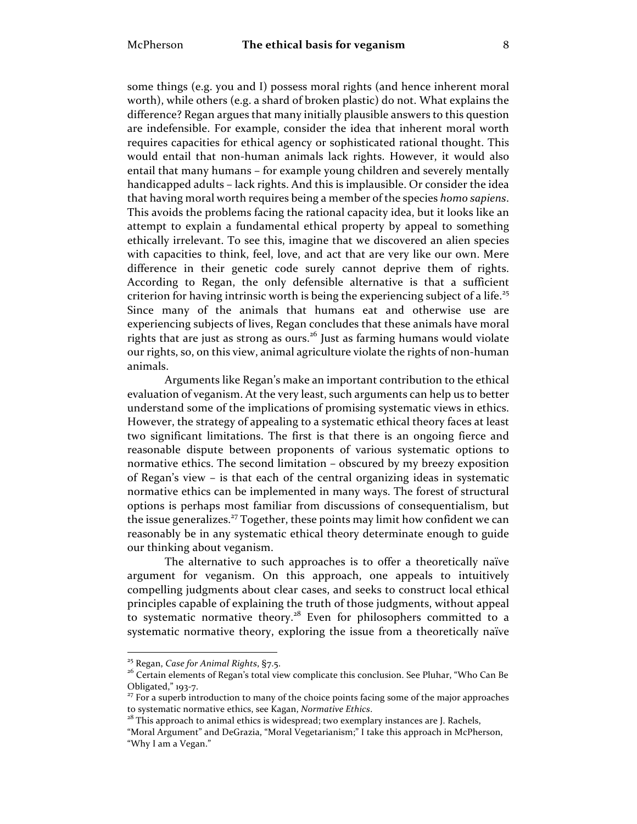some things (e.g. you and I) possess moral rights (and hence inherent moral worth), while others (e.g. a shard of broken plastic) do not. What explains the difference? Regan argues that many initially plausible answers to this question are indefensible. For example, consider the idea that inherent moral worth requires capacities for ethical agency or sophisticated rational thought. This would entail that non-human animals lack rights. However, it would also entail that many humans – for example young children and severely mentally handicapped adults – lack rights. And this is implausible. Or consider the idea that having moral worth requires being a member of the species *homo sapiens*. This avoids the problems facing the rational capacity idea, but it looks like an attempt to explain a fundamental ethical property by appeal to something ethically irrelevant. To see this, imagine that we discovered an alien species with capacities to think, feel, love, and act that are very like our own. Mere difference in their genetic code surely cannot deprive them of rights. According to Regan, the only defensible alternative is that a sufficient criterion for having intrinsic worth is being the experiencing subject of a life.<sup>25</sup> Since many of the animals that humans eat and otherwise use are experiencing subjects of lives, Regan concludes that these animals have moral rights that are just as strong as ours.<sup>26</sup> Just as farming humans would violate our rights, so, on this view, animal agriculture violate the rights of non-human animals.

Arguments like Regan's make an important contribution to the ethical evaluation of veganism. At the very least, such arguments can help us to better understand some of the implications of promising systematic views in ethics. However, the strategy of appealing to a systematic ethical theory faces at least two significant limitations. The first is that there is an ongoing fierce and reasonable dispute between proponents of various systematic options to normative ethics. The second limitation – obscured by my breezy exposition of Regan's view – is that each of the central organizing ideas in systematic normative ethics can be implemented in many ways. The forest of structural options is perhaps most familiar from discussions of consequentialism, but the issue generalizes.<sup>27</sup> Together, these points may limit how confident we can reasonably be in any systematic ethical theory determinate enough to guide our thinking about veganism.

The alternative to such approaches is to offer a theoretically naïve argument for veganism. On this approach, one appeals to intuitively compelling judgments about clear cases, and seeks to construct local ethical principles capable of explaining the truth of those judgments, without appeal to systematic normative theory.<sup>28</sup> Even for philosophers committed to a systematic normative theory, exploring the issue from a theoretically naïve

<sup>&</sup>lt;sup>25</sup> Regan, *Case for Animal Rights*, §7.5.<br><sup>26</sup> Certain elements of Regan's total view complicate this conclusion. See Pluhar, "Who Can Be Obligated," 193-7.

 $^{27}$  For a superb introduction to many of the choice points facing some of the major approaches to systematic normative ethics, see Kagan, Normative Ethics.

<sup>&</sup>lt;sup>28</sup> This approach to animal ethics is widespread; two exemplary instances are J. Rachels,

<sup>&</sup>quot;Moral Argument" and DeGrazia, "Moral Vegetarianism;" I take this approach in McPherson, "Why I am a Vegan."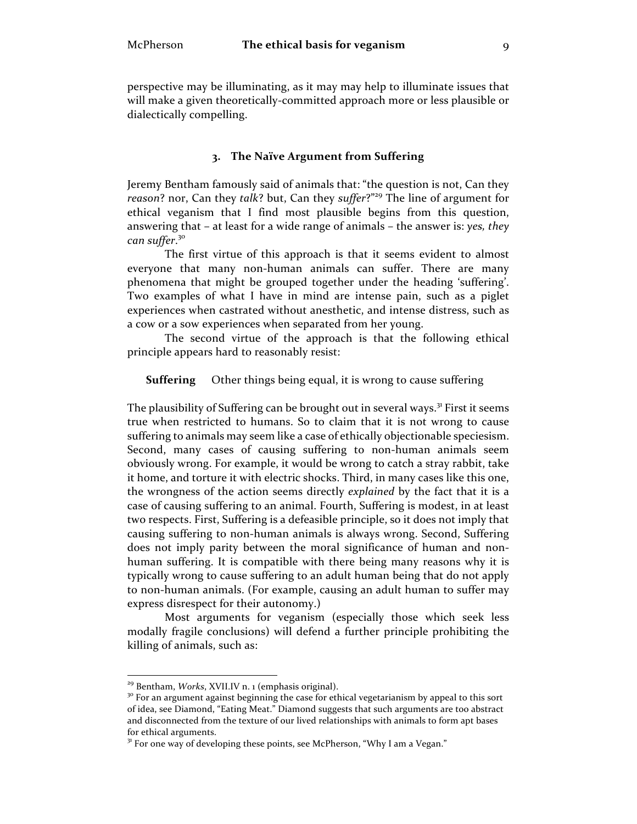perspective may be illuminating, as it may may help to illuminate issues that will make a given theoretically-committed approach more or less plausible or dialectically compelling.

#### **3. The Naïve Argument from Suffering**

Jeremy Bentham famously said of animals that: "the question is not, Can they *reason*? nor, Can they *talk*? but, Can they *suffer*?"<sup>29</sup> The line of argument for ethical veganism that I find most plausible begins from this question, answering that – at least for a wide range of animals – the answer is: *yes, they can suffer*. 30

The first virtue of this approach is that it seems evident to almost everyone that many non-human animals can suffer. There are many phenomena that might be grouped together under the heading 'suffering'. Two examples of what I have in mind are intense pain, such as a piglet experiences when castrated without anesthetic, and intense distress, such as a cow or a sow experiences when separated from her young.

The second virtue of the approach is that the following ethical principle appears hard to reasonably resist:

**Suffering** Other things being equal, it is wrong to cause suffering

The plausibility of Suffering can be brought out in several ways.<sup>31</sup> First it seems true when restricted to humans. So to claim that it is not wrong to cause suffering to animals may seem like a case of ethically objectionable speciesism. Second, many cases of causing suffering to non-human animals seem obviously wrong. For example, it would be wrong to catch a stray rabbit, take it home, and torture it with electric shocks. Third, in many cases like this one, the wrongness of the action seems directly *explained* by the fact that it is a case of causing suffering to an animal. Fourth, Suffering is modest, in at least two respects. First, Suffering is a defeasible principle, so it does not imply that causing suffering to non-human animals is always wrong. Second, Suffering does not imply parity between the moral significance of human and nonhuman suffering. It is compatible with there being many reasons why it is typically wrong to cause suffering to an adult human being that do not apply to non-human animals. (For example, causing an adult human to suffer may express disrespect for their autonomy.)

Most arguments for veganism (especially those which seek less modally fragile conclusions) will defend a further principle prohibiting the killing of animals, such as:

<sup>&</sup>lt;sup>29</sup> Bentham, *Works*, XVII.IV n. 1 (emphasis original).<br><sup>30</sup> For an argument against beginning the case for ethical vegetarianism by appeal to this sort of idea, see Diamond, "Eating Meat." Diamond suggests that such arguments are too abstract and disconnected from the texture of our lived relationships with animals to form apt bases for ethical arguments.<br><sup>31</sup> For one way of developing these points, see McPherson, "Why I am a Vegan."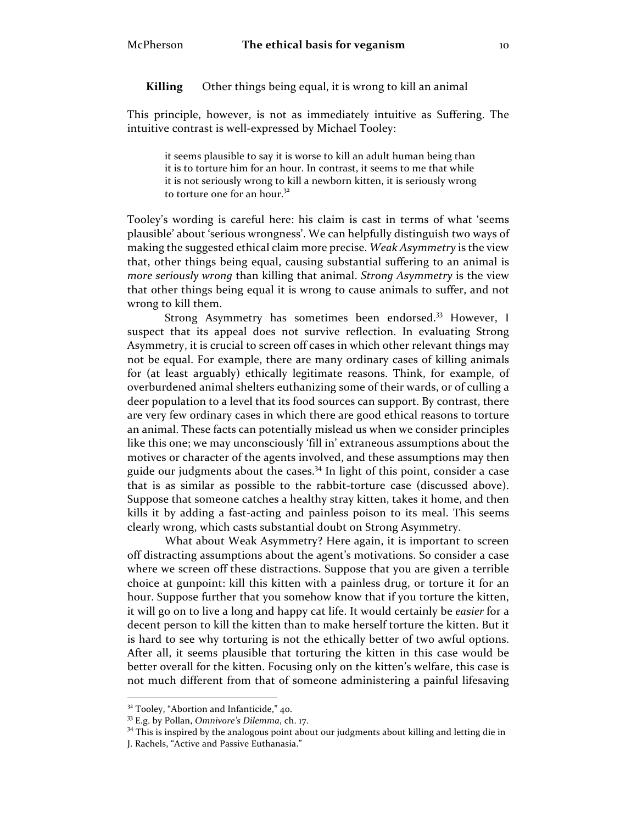**Killing** Other things being equal, it is wrong to kill an animal

This principle, however, is not as immediately intuitive as Suffering. The intuitive contrast is well-expressed by Michael Tooley:

it seems plausible to say it is worse to kill an adult human being than it is to torture him for an hour. In contrast, it seems to me that while it is not seriously wrong to kill a newborn kitten, it is seriously wrong to torture one for an hour.<sup>32</sup>

Tooley's wording is careful here: his claim is cast in terms of what 'seems plausible' about 'serious wrongness'. We can helpfully distinguish two ways of making the suggested ethical claim more precise. *Weak Asymmetry* is the view that, other things being equal, causing substantial suffering to an animal is *more seriously wrong* than killing that animal. *Strong Asymmetry* is the view that other things being equal it is wrong to cause animals to suffer, and not wrong to kill them.

Strong Asymmetry has sometimes been endorsed.<sup>33</sup> However, I suspect that its appeal does not survive reflection. In evaluating Strong Asymmetry, it is crucial to screen off cases in which other relevant things may not be equal. For example, there are many ordinary cases of killing animals for (at least arguably) ethically legitimate reasons. Think, for example, of overburdened animal shelters euthanizing some of their wards, or of culling a deer population to a level that its food sources can support. By contrast, there are very few ordinary cases in which there are good ethical reasons to torture an animal. These facts can potentially mislead us when we consider principles like this one; we may unconsciously 'fill in' extraneous assumptions about the motives or character of the agents involved, and these assumptions may then guide our judgments about the cases.<sup>34</sup> In light of this point, consider a case that is as similar as possible to the rabbit-torture case (discussed above). Suppose that someone catches a healthy stray kitten, takes it home, and then kills it by adding a fast-acting and painless poison to its meal. This seems clearly wrong, which casts substantial doubt on Strong Asymmetry.

What about Weak Asymmetry? Here again, it is important to screen off distracting assumptions about the agent's motivations. So consider a case where we screen off these distractions. Suppose that you are given a terrible choice at gunpoint: kill this kitten with a painless drug, or torture it for an hour. Suppose further that you somehow know that if you torture the kitten, it will go on to live a long and happy cat life. It would certainly be *easier* for a decent person to kill the kitten than to make herself torture the kitten. But it is hard to see why torturing is not the ethically better of two awful options. After all, it seems plausible that torturing the kitten in this case would be better overall for the kitten. Focusing only on the kitten's welfare, this case is not much different from that of someone administering a painful lifesaving

<sup>&</sup>lt;sup>32</sup> Tooley, "Abortion and Infanticide," 40.<br><sup>33</sup> E.g. by Pollan, *Omnivore's Dilemma*, ch. 17.<br><sup>34</sup> This is inspired by the analogous point about our judgments about killing and letting die in

J. Rachels, "Active and Passive Euthanasia."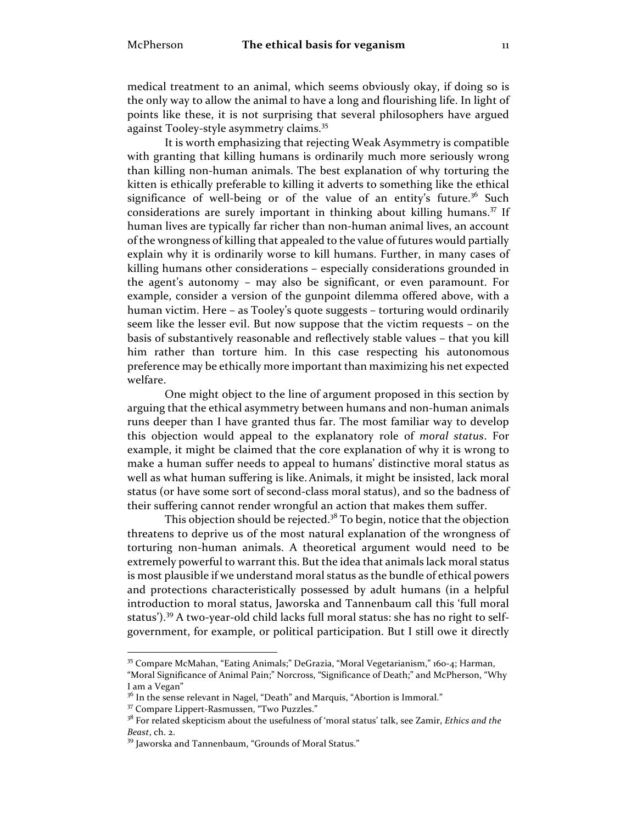medical treatment to an animal, which seems obviously okay, if doing so is the only way to allow the animal to have a long and flourishing life. In light of points like these, it is not surprising that several philosophers have argued against Tooley-style asymmetry claims.<sup>35</sup>

It is worth emphasizing that rejecting Weak Asymmetry is compatible with granting that killing humans is ordinarily much more seriously wrong than killing non-human animals. The best explanation of why torturing the kitten is ethically preferable to killing it adverts to something like the ethical significance of well-being or of the value of an entity's future.<sup>36</sup> Such considerations are surely important in thinking about killing humans.<sup>37</sup> If human lives are typically far richer than non-human animal lives, an account of the wrongness of killing that appealed to the value of futures would partially explain why it is ordinarily worse to kill humans. Further, in many cases of killing humans other considerations – especially considerations grounded in the agent's autonomy – may also be significant, or even paramount. For example, consider a version of the gunpoint dilemma offered above, with a human victim. Here – as Tooley's quote suggests – torturing would ordinarily seem like the lesser evil. But now suppose that the victim requests – on the basis of substantively reasonable and reflectively stable values – that you kill him rather than torture him. In this case respecting his autonomous preference may be ethically more important than maximizing his net expected welfare.

One might object to the line of argument proposed in this section by arguing that the ethical asymmetry between humans and non-human animals runs deeper than I have granted thus far. The most familiar way to develop this objection would appeal to the explanatory role of *moral status*. For example, it might be claimed that the core explanation of why it is wrong to make a human suffer needs to appeal to humans' distinctive moral status as well as what human suffering is like.Animals, it might be insisted, lack moral status (or have some sort of second-class moral status), and so the badness of their suffering cannot render wrongful an action that makes them suffer.

This objection should be rejected. $3^8$  To begin, notice that the objection threatens to deprive us of the most natural explanation of the wrongness of torturing non-human animals. A theoretical argument would need to be extremely powerful to warrant this. But the idea that animals lack moral status is most plausible if we understand moral status as the bundle of ethical powers and protections characteristically possessed by adult humans (in a helpful introduction to moral status, Jaworska and Tannenbaum call this 'full moral status').<sup>39</sup> A two-year-old child lacks full moral status: she has no right to selfgovernment, for example, or political participation. But I still owe it directly

 <sup>35</sup> Compare McMahan, "Eating Animals;" DeGrazia, "Moral Vegetarianism," 160-4; Harman,

<sup>&</sup>quot;Moral Significance of Animal Pain;" Norcross, "Significance of Death;" and McPherson, "Why I am a Vegan"<br><sup>36</sup> In the sense relevant in Nagel, "Death" and Marquis, "Abortion is Immoral."<br><sup>37</sup> Compare Lippert-Rasmussen, "Two Puzzles."

<sup>&</sup>lt;sup>38</sup> For related skepticism about the usefulness of 'moral status' talk, see Zamir, *Ethics and the Beast*, ch. 2.

<sup>&</sup>lt;sup>39</sup> Jaworska and Tannenbaum, "Grounds of Moral Status."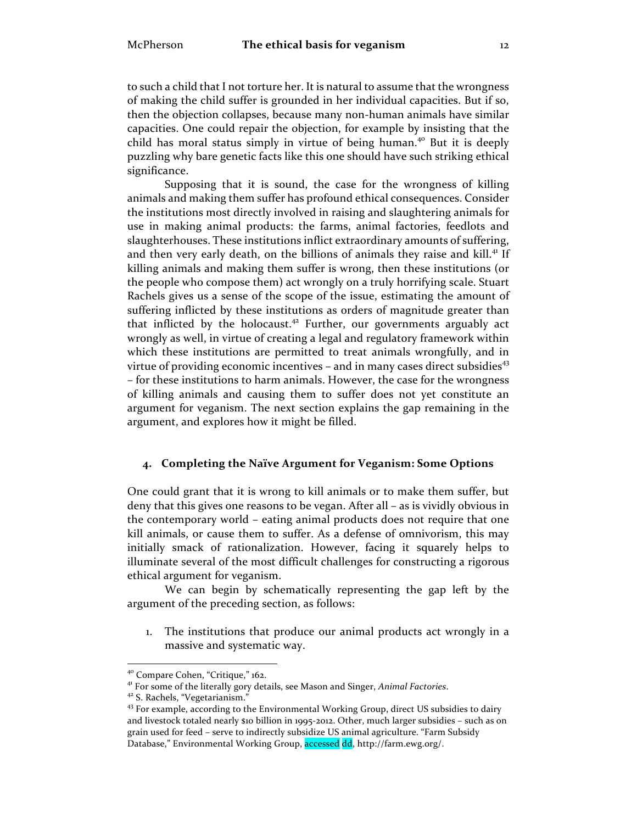to such a child that I not torture her. It is natural to assume that the wrongness of making the child suffer is grounded in her individual capacities. But if so, then the objection collapses, because many non-human animals have similar capacities. One could repair the objection, for example by insisting that the child has moral status simply in virtue of being human.<sup>40</sup> But it is deeply puzzling why bare genetic facts like this one should have such striking ethical significance.

Supposing that it is sound, the case for the wrongness of killing animals and making them suffer has profound ethical consequences. Consider the institutions most directly involved in raising and slaughtering animals for use in making animal products: the farms, animal factories, feedlots and slaughterhouses. These institutions inflict extraordinary amounts of suffering, and then very early death, on the billions of animals they raise and kill.<sup>41</sup> If killing animals and making them suffer is wrong, then these institutions (or the people who compose them) act wrongly on a truly horrifying scale. Stuart Rachels gives us a sense of the scope of the issue, estimating the amount of suffering inflicted by these institutions as orders of magnitude greater than that inflicted by the holocaust.<sup>42</sup> Further, our governments arguably act wrongly as well, in virtue of creating a legal and regulatory framework within which these institutions are permitted to treat animals wrongfully, and in virtue of providing economic incentives  $-$  and in many cases direct subsidies<sup>43</sup> – for these institutions to harm animals. However, the case for the wrongness of killing animals and causing them to suffer does not yet constitute an argument for veganism. The next section explains the gap remaining in the argument, and explores how it might be filled.

# **4. Completing the Naïve Argument for Veganism: Some Options**

One could grant that it is wrong to kill animals or to make them suffer, but deny that this gives one reasons to be vegan. After all – as is vividly obvious in the contemporary world – eating animal products does not require that one kill animals, or cause them to suffer. As a defense of omnivorism, this may initially smack of rationalization. However, facing it squarely helps to illuminate several of the most difficult challenges for constructing a rigorous ethical argument for veganism.

We can begin by schematically representing the gap left by the argument of the preceding section, as follows:

1. The institutions that produce our animal products act wrongly in a massive and systematic way.

<sup>&</sup>lt;sup>40</sup> Compare Cohen, "Critique," 162.<br><sup>41</sup> For some of the literally gory details, see Mason and Singer, *Animal Factories*.<br><sup>42</sup> S. Rachels, "Vegetarianism."<br><sup>43</sup> For example, according to the Environmental Working Group, and livestock totaled nearly \$10 billion in 1995-2012. Other, much larger subsidies – such as on grain used for feed – serve to indirectly subsidize US animal agriculture. "Farm Subsidy Database," Environmental Working Group, accessed dd, http://farm.ewg.org/.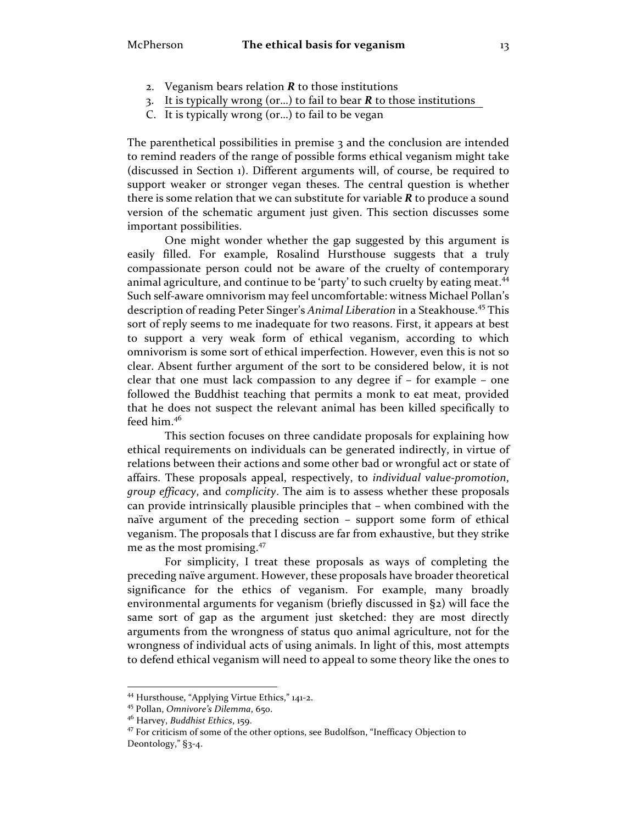- 2. Veganism bears relation *R* to those institutions
- 3. It is typically wrong (or…) to fail to bear *R* to those institutions
- C. It is typically wrong (or…) to fail to be vegan

The parenthetical possibilities in premise 3 and the conclusion are intended to remind readers of the range of possible forms ethical veganism might take (discussed in Section 1). Different arguments will, of course, be required to support weaker or stronger vegan theses. The central question is whether there is some relation that we can substitute for variable *R* to produce a sound version of the schematic argument just given. This section discusses some important possibilities.

One might wonder whether the gap suggested by this argument is easily filled. For example, Rosalind Hursthouse suggests that a truly compassionate person could not be aware of the cruelty of contemporary animal agriculture, and continue to be 'party' to such cruelty by eating meat.<sup>44</sup> Such self-aware omnivorism may feel uncomfortable: witness Michael Pollan's description of reading Peter Singer's *Animal Liberation* in a Steakhouse.<sup>45</sup> This sort of reply seems to me inadequate for two reasons. First, it appears at best to support a very weak form of ethical veganism, according to which omnivorism is some sort of ethical imperfection. However, even this is not so clear. Absent further argument of the sort to be considered below, it is not clear that one must lack compassion to any degree if – for example – one followed the Buddhist teaching that permits a monk to eat meat, provided that he does not suspect the relevant animal has been killed specifically to feed him.46

This section focuses on three candidate proposals for explaining how ethical requirements on individuals can be generated indirectly, in virtue of relations between their actions and some other bad or wrongful act or state of affairs. These proposals appeal, respectively, to *individual value-promotion*, *group efficacy*, and *complicity*. The aim is to assess whether these proposals can provide intrinsically plausible principles that – when combined with the naïve argument of the preceding section – support some form of ethical veganism. The proposals that I discuss are far from exhaustive, but they strike me as the most promising.<sup>47</sup>

For simplicity, I treat these proposals as ways of completing the preceding naïve argument. However, these proposals have broader theoretical significance for the ethics of veganism. For example, many broadly environmental arguments for veganism (briefly discussed in §2) will face the same sort of gap as the argument just sketched: they are most directly arguments from the wrongness of status quo animal agriculture, not for the wrongness of individual acts of using animals. In light of this, most attempts to defend ethical veganism will need to appeal to some theory like the ones to

<sup>&</sup>lt;sup>44</sup> Hursthouse, "Applying Virtue Ethics," 141-2.<br><sup>45</sup> Pollan, *Omnivore's Dilemma*, 650.<br><sup>46</sup> Harvey, *Buddhist Ethics*, 159.<br><sup>47</sup> For criticism of some of the other options, see Budolfson, "Inefficacy Objection to Deontology," §3-4.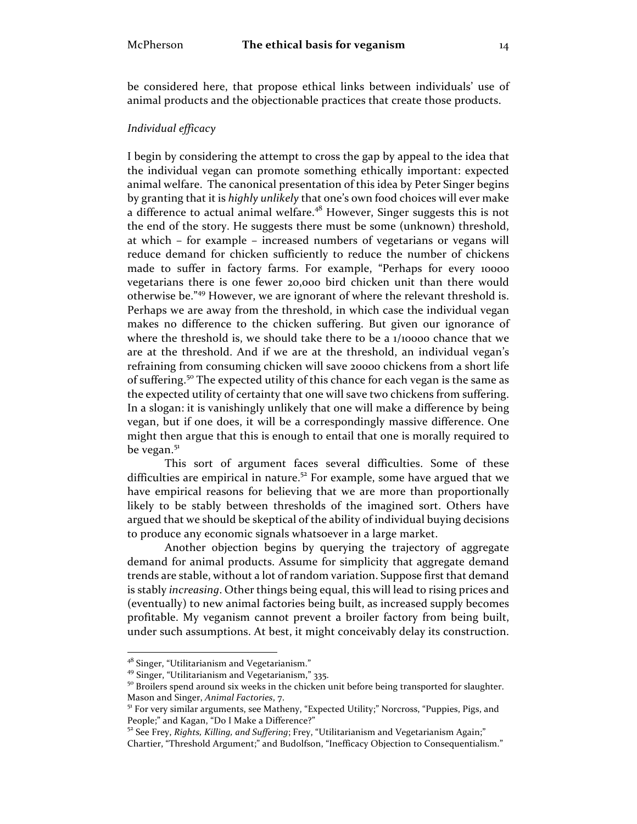be considered here, that propose ethical links between individuals' use of animal products and the objectionable practices that create those products.

#### *Individual efficacy*

I begin by considering the attempt to cross the gap by appeal to the idea that the individual vegan can promote something ethically important: expected animal welfare. The canonical presentation of this idea by Peter Singer begins by granting that it is *highly unlikely* that one's own food choices will ever make a difference to actual animal welfare.<sup>48</sup> However, Singer suggests this is not the end of the story. He suggests there must be some (unknown) threshold, at which – for example – increased numbers of vegetarians or vegans will reduce demand for chicken sufficiently to reduce the number of chickens made to suffer in factory farms. For example, "Perhaps for every 10000 vegetarians there is one fewer 20,000 bird chicken unit than there would otherwise be."<sup>49</sup> However, we are ignorant of where the relevant threshold is. Perhaps we are away from the threshold, in which case the individual vegan makes no difference to the chicken suffering. But given our ignorance of where the threshold is, we should take there to be a 1/10000 chance that we are at the threshold. And if we are at the threshold, an individual vegan's refraining from consuming chicken will save 20000 chickens from a short life of suffering.<sup>50</sup> The expected utility of this chance for each vegan is the same as the expected utility of certainty that one will save two chickens from suffering. In a slogan: it is vanishingly unlikely that one will make a difference by being vegan, but if one does, it will be a correspondingly massive difference. One might then argue that this is enough to entail that one is morally required to be vegan.<sup>51</sup>

This sort of argument faces several difficulties. Some of these difficulties are empirical in nature.<sup>52</sup> For example, some have argued that we have empirical reasons for believing that we are more than proportionally likely to be stably between thresholds of the imagined sort. Others have argued that we should be skeptical of the ability of individual buying decisions to produce any economic signals whatsoever in a large market.

Another objection begins by querying the trajectory of aggregate demand for animal products. Assume for simplicity that aggregate demand trends are stable, without a lot of random variation. Suppose first that demand is stably *increasing*. Other things being equal, this will lead to rising prices and (eventually) to new animal factories being built, as increased supply becomes profitable. My veganism cannot prevent a broiler factory from being built, under such assumptions. At best, it might conceivably delay its construction.

<sup>&</sup>lt;sup>48</sup> Singer, "Utilitarianism and Vegetarianism."<br><sup>49</sup> Singer, "Utilitarianism and Vegetarianism," 335.<br><sup>50</sup> Broilers spend around six weeks in the chicken unit before being transported for slaughter.<br>Mason and Singer, *An* 

<sup>&</sup>lt;sup>51</sup> For very similar arguments, see Matheny, "Expected Utility;" Norcross, "Puppies, Pigs, and People;" and Kagan, "Do I Make a Difference?"<br><sup>52</sup> See Frey, *Rights, Killing, and Suffering*; Frey, "Utilitarianism and Vegetarianism Again;"

Chartier, "Threshold Argument;" and Budolfson, "Inefficacy Objection to Consequentialism."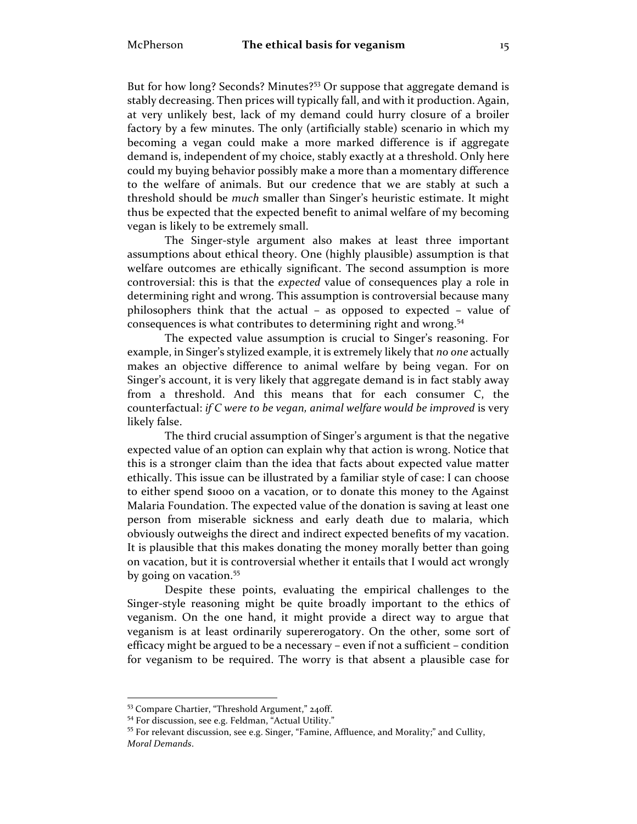But for how long? Seconds? Minutes?<sup>53</sup> Or suppose that aggregate demand is stably decreasing. Then prices will typically fall, and with it production. Again, at very unlikely best, lack of my demand could hurry closure of a broiler factory by a few minutes. The only (artificially stable) scenario in which my becoming a vegan could make a more marked difference is if aggregate demand is, independent of my choice, stably exactly at a threshold. Only here could my buying behavior possibly make a more than a momentary difference to the welfare of animals. But our credence that we are stably at such a threshold should be *much* smaller than Singer's heuristic estimate. It might thus be expected that the expected benefit to animal welfare of my becoming vegan is likely to be extremely small.

The Singer-style argument also makes at least three important assumptions about ethical theory. One (highly plausible) assumption is that welfare outcomes are ethically significant. The second assumption is more controversial: this is that the *expected* value of consequences play a role in determining right and wrong. This assumption is controversial because many philosophers think that the actual – as opposed to expected – value of consequences is what contributes to determining right and wrong.<sup>54</sup>

The expected value assumption is crucial to Singer's reasoning. For example, in Singer's stylized example, it is extremely likely that *no one* actually makes an objective difference to animal welfare by being vegan. For on Singer's account, it is very likely that aggregate demand is in fact stably away from a threshold. And this means that for each consumer C, the counterfactual: *if C were to be vegan, animal welfare would be improved* is very likely false.

The third crucial assumption of Singer's argument is that the negative expected value of an option can explain why that action is wrong. Notice that this is a stronger claim than the idea that facts about expected value matter ethically. This issue can be illustrated by a familiar style of case: I can choose to either spend \$1000 on a vacation, or to donate this money to the Against Malaria Foundation. The expected value of the donation is saving at least one person from miserable sickness and early death due to malaria, which obviously outweighs the direct and indirect expected benefits of my vacation. It is plausible that this makes donating the money morally better than going on vacation, but it is controversial whether it entails that I would act wrongly by going on vacation.<sup>55</sup>

Despite these points, evaluating the empirical challenges to the Singer-style reasoning might be quite broadly important to the ethics of veganism. On the one hand, it might provide a direct way to argue that veganism is at least ordinarily supererogatory. On the other, some sort of efficacy might be argued to be a necessary – even if not a sufficient – condition for veganism to be required. The worry is that absent a plausible case for

<sup>&</sup>lt;sup>53</sup> Compare Chartier, "Threshold Argument," 240ff.<br><sup>54</sup> For discussion, see e.g. Feldman, "Actual Utility."<br><sup>55</sup> For relevant discussion, see e.g. Singer, "Famine, Affluence, and Morality;" and Cullity, *Moral Demands*.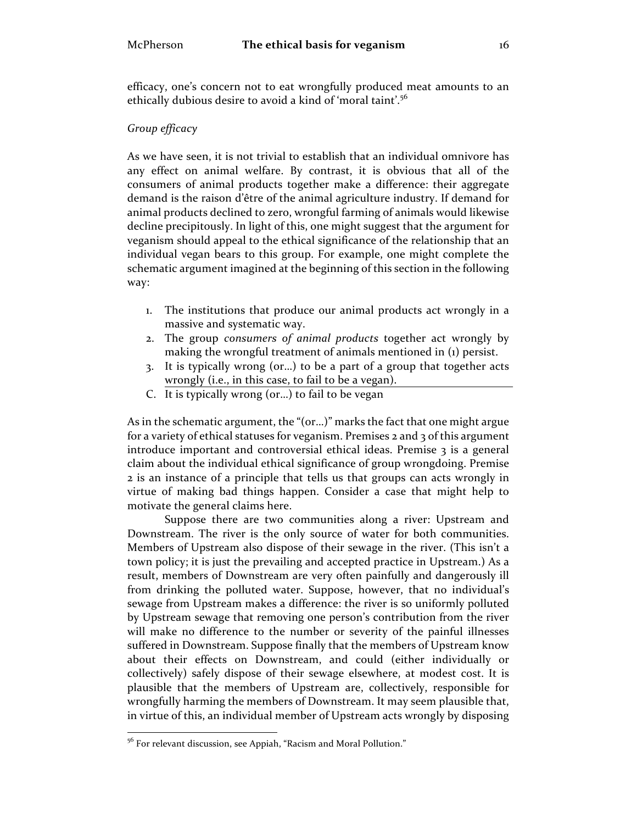efficacy, one's concern not to eat wrongfully produced meat amounts to an ethically dubious desire to avoid a kind of 'moral taint'.<sup>56</sup>

# *Group efficacy*

As we have seen, it is not trivial to establish that an individual omnivore has any effect on animal welfare. By contrast, it is obvious that all of the consumers of animal products together make a difference: their aggregate demand is the raison d'être of the animal agriculture industry. If demand for animal products declined to zero, wrongful farming of animals would likewise decline precipitously. In light of this, one might suggest that the argument for veganism should appeal to the ethical significance of the relationship that an individual vegan bears to this group. For example, one might complete the schematic argument imagined at the beginning of this section in the following way:

- 1. The institutions that produce our animal products act wrongly in a massive and systematic way.
- 2. The group *consumers of animal products* together act wrongly by making the wrongful treatment of animals mentioned in (1) persist.
- 3. It is typically wrong (or…) to be a part of a group that together acts wrongly (i.e., in this case, to fail to be a vegan).
- C. It is typically wrong (or…) to fail to be vegan

As in the schematic argument, the "(or…)" marks the fact that one might argue for a variety of ethical statuses for veganism. Premises 2 and 3 of this argument introduce important and controversial ethical ideas. Premise 3 is a general claim about the individual ethical significance of group wrongdoing. Premise 2 is an instance of a principle that tells us that groups can acts wrongly in virtue of making bad things happen. Consider a case that might help to motivate the general claims here.

Suppose there are two communities along a river: Upstream and Downstream. The river is the only source of water for both communities. Members of Upstream also dispose of their sewage in the river. (This isn't a town policy; it is just the prevailing and accepted practice in Upstream.) As a result, members of Downstream are very often painfully and dangerously ill from drinking the polluted water. Suppose, however, that no individual's sewage from Upstream makes a difference: the river is so uniformly polluted by Upstream sewage that removing one person's contribution from the river will make no difference to the number or severity of the painful illnesses suffered in Downstream. Suppose finally that the members of Upstream know about their effects on Downstream, and could (either individually or collectively) safely dispose of their sewage elsewhere, at modest cost. It is plausible that the members of Upstream are, collectively, responsible for wrongfully harming the members of Downstream. It may seem plausible that, in virtue of this, an individual member of Upstream acts wrongly by disposing

<sup>&</sup>lt;sup>56</sup> For relevant discussion, see Appiah, "Racism and Moral Pollution."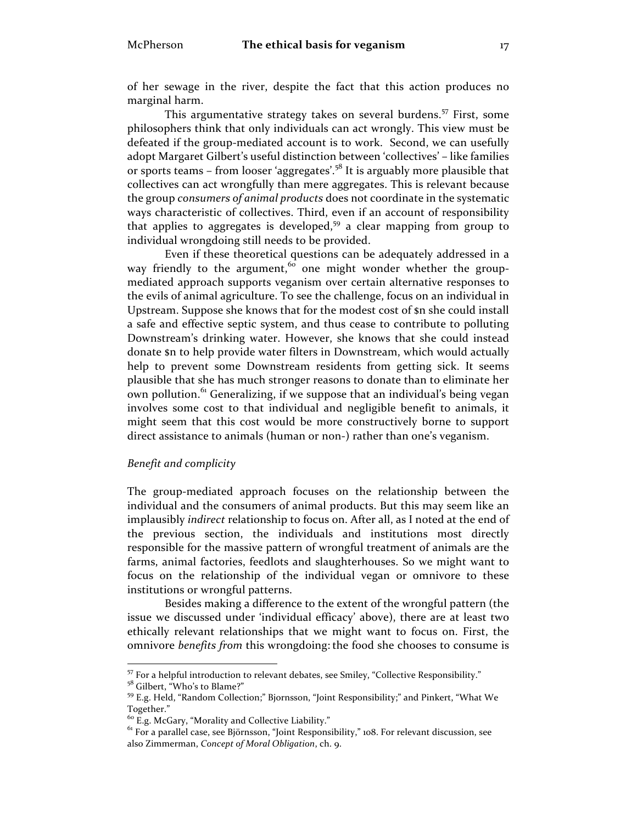of her sewage in the river, despite the fact that this action produces no marginal harm.

This argumentative strategy takes on several burdens.<sup>57</sup> First, some philosophers think that only individuals can act wrongly. This view must be defeated if the group-mediated account is to work. Second, we can usefully adopt Margaret Gilbert's useful distinction between 'collectives' – like families or sports teams – from looser 'aggregates'.<sup>58</sup> It is arguably more plausible that collectives can act wrongfully than mere aggregates. This is relevant because the group *consumers of animal products* does not coordinate in the systematic ways characteristic of collectives. Third, even if an account of responsibility that applies to aggregates is developed,<sup>59</sup> a clear mapping from group to individual wrongdoing still needs to be provided.

Even if these theoretical questions can be adequately addressed in a way friendly to the argument, <sup>60</sup> one might wonder whether the groupmediated approach supports veganism over certain alternative responses to the evils of animal agriculture. To see the challenge, focus on an individual in Upstream. Suppose she knows that for the modest cost of \$n she could install a safe and effective septic system, and thus cease to contribute to polluting Downstream's drinking water. However, she knows that she could instead donate \$n to help provide water filters in Downstream, which would actually help to prevent some Downstream residents from getting sick. It seems plausible that she has much stronger reasons to donate than to eliminate her own pollution.<sup>61</sup> Generalizing, if we suppose that an individual's being vegan involves some cost to that individual and negligible benefit to animals, it might seem that this cost would be more constructively borne to support direct assistance to animals (human or non-) rather than one's veganism.

#### *Benefit and complicity*

The group-mediated approach focuses on the relationship between the individual and the consumers of animal products. But this may seem like an implausibly *indirect* relationship to focus on. After all, as I noted at the end of the previous section, the individuals and institutions most directly responsible for the massive pattern of wrongful treatment of animals are the farms, animal factories, feedlots and slaughterhouses. So we might want to focus on the relationship of the individual vegan or omnivore to these institutions or wrongful patterns.

Besides making a difference to the extent of the wrongful pattern (the issue we discussed under 'individual efficacy' above), there are at least two ethically relevant relationships that we might want to focus on. First, the omnivore *benefits from* this wrongdoing: the food she chooses to consume is

 $^{57}$  For a helpful introduction to relevant debates, see Smiley, "Collective Responsibility."  $^{58}$  Gilbert, "Who's to Blame?"

<sup>&</sup>lt;sup>59</sup> E.g. Held, "Random Collection;" Bjornsson, "Joint Responsibility;" and Pinkert, "What We Together."<br><sup>60</sup> E.g. McGary, "Morality and Collective Liability."<br><sup>61</sup> For a parallel case, see Björnsson, "Joint Responsibility," 108. For relevant discussion, see

also Zimmerman, *Concept of Moral Obligation*, ch. 9.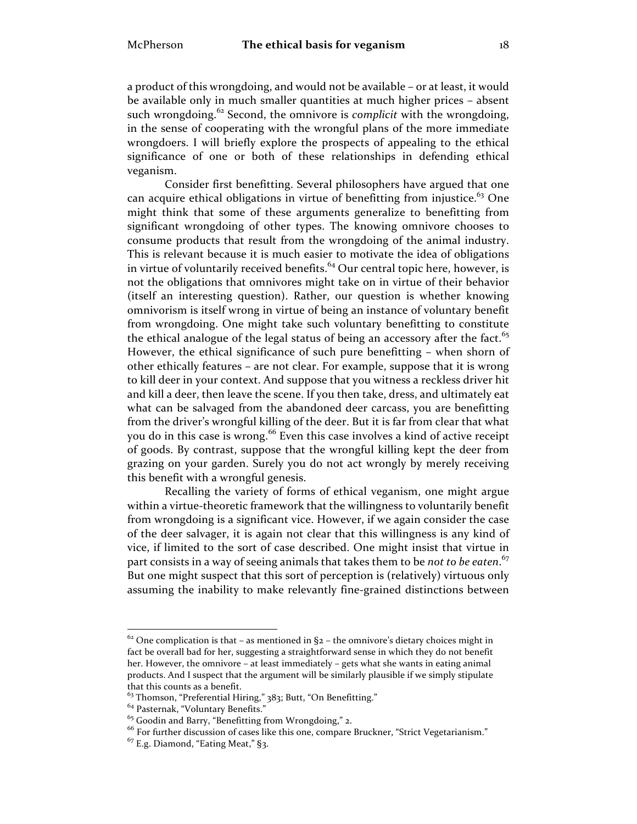a product of this wrongdoing, and would not be available – or at least, it would be available only in much smaller quantities at much higher prices – absent such wrongdoing.<sup>62</sup> Second, the omnivore is *complicit* with the wrongdoing, in the sense of cooperating with the wrongful plans of the more immediate wrongdoers. I will briefly explore the prospects of appealing to the ethical significance of one or both of these relationships in defending ethical veganism.

Consider first benefitting. Several philosophers have argued that one can acquire ethical obligations in virtue of benefitting from injustice.<sup>63</sup> One might think that some of these arguments generalize to benefitting from significant wrongdoing of other types. The knowing omnivore chooses to consume products that result from the wrongdoing of the animal industry. This is relevant because it is much easier to motivate the idea of obligations in virtue of voluntarily received benefits. $64$  Our central topic here, however, is not the obligations that omnivores might take on in virtue of their behavior (itself an interesting question). Rather, our question is whether knowing omnivorism is itself wrong in virtue of being an instance of voluntary benefit from wrongdoing. One might take such voluntary benefitting to constitute the ethical analogue of the legal status of being an accessory after the fact.<sup>65</sup> However, the ethical significance of such pure benefitting – when shorn of other ethically features – are not clear. For example, suppose that it is wrong to kill deer in your context. And suppose that you witness a reckless driver hit and kill a deer, then leave the scene. If you then take, dress, and ultimately eat what can be salvaged from the abandoned deer carcass, you are benefitting from the driver's wrongful killing of the deer. But it is far from clear that what you do in this case is wrong.<sup>66</sup> Even this case involves a kind of active receipt of goods. By contrast, suppose that the wrongful killing kept the deer from grazing on your garden. Surely you do not act wrongly by merely receiving this benefit with a wrongful genesis.

Recalling the variety of forms of ethical veganism, one might argue within a virtue-theoretic framework that the willingness to voluntarily benefit from wrongdoing is a significant vice. However, if we again consider the case of the deer salvager, it is again not clear that this willingness is any kind of vice, if limited to the sort of case described. One might insist that virtue in part consists in a way of seeing animals that takes them to be *not to be eaten*. 67 But one might suspect that this sort of perception is (relatively) virtuous only assuming the inability to make relevantly fine-grained distinctions between

 $62$  One complication is that – as mentioned in  $\S$ 2 – the omnivore's dietary choices might in fact be overall bad for her, suggesting a straightforward sense in which they do not benefit her. However, the omnivore – at least immediately – gets what she wants in eating animal products. And I suspect that the argument will be similarly plausible if we simply stipulate that this counts as a benefit.

<sup>&</sup>lt;sup>63</sup> Thomson, "Preferential Hiring," 383; Butt, "On Benefitting."

 $64$  Pasternak, "Voluntary Benefits."<br> $65$  Goodin and Barry, "Benefitting from Wrongdoing," 2.

<sup>&</sup>lt;sup>66</sup> For further discussion of cases like this one, compare Bruckner, "Strict Vegetarianism."

 $67$  E.g. Diamond, "Eating Meat," §3.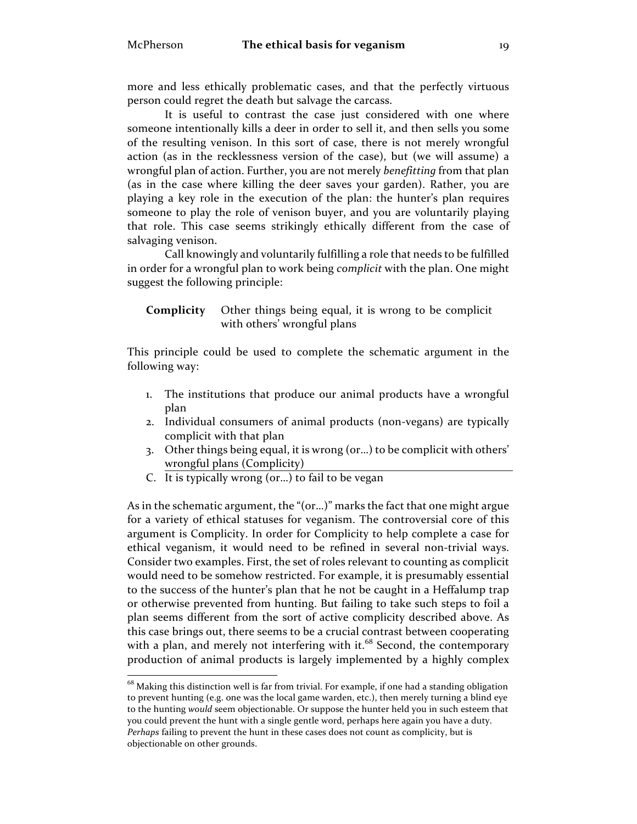more and less ethically problematic cases, and that the perfectly virtuous person could regret the death but salvage the carcass.

It is useful to contrast the case just considered with one where someone intentionally kills a deer in order to sell it, and then sells you some of the resulting venison. In this sort of case, there is not merely wrongful action (as in the recklessness version of the case), but (we will assume) a wrongful plan of action. Further, you are not merely *benefitting* from that plan (as in the case where killing the deer saves your garden). Rather, you are playing a key role in the execution of the plan: the hunter's plan requires someone to play the role of venison buyer, and you are voluntarily playing that role. This case seems strikingly ethically different from the case of salvaging venison.

Call knowingly and voluntarily fulfilling a role that needs to be fulfilled in order for a wrongful plan to work being *complicit* with the plan. One might suggest the following principle:

**Complicity** Other things being equal, it is wrong to be complicit with others' wrongful plans

This principle could be used to complete the schematic argument in the following way:

- 1. The institutions that produce our animal products have a wrongful plan
- 2. Individual consumers of animal products (non-vegans) are typically complicit with that plan
- 3. Other things being equal, it is wrong (or…) to be complicit with others' wrongful plans (Complicity)
- C. It is typically wrong (or…) to fail to be vegan

As in the schematic argument, the "(or…)" marks the fact that one might argue for a variety of ethical statuses for veganism. The controversial core of this argument is Complicity. In order for Complicity to help complete a case for ethical veganism, it would need to be refined in several non-trivial ways. Consider two examples. First, the set of roles relevant to counting as complicit would need to be somehow restricted. For example, it is presumably essential to the success of the hunter's plan that he not be caught in a Heffalump trap or otherwise prevented from hunting. But failing to take such steps to foil a plan seems different from the sort of active complicity described above. As this case brings out, there seems to be a crucial contrast between cooperating with a plan, and merely not interfering with it.<sup>68</sup> Second, the contemporary production of animal products is largely implemented by a highly complex

 $^{68}$  Making this distinction well is far from trivial. For example, if one had a standing obligation to prevent hunting (e.g. one was the local game warden, etc.), then merely turning a blind eye to the hunting *would* seem objectionable. Or suppose the hunter held you in such esteem that you could prevent the hunt with a single gentle word, perhaps here again you have a duty. *Perhaps* failing to prevent the hunt in these cases does not count as complicity, but is objectionable on other grounds.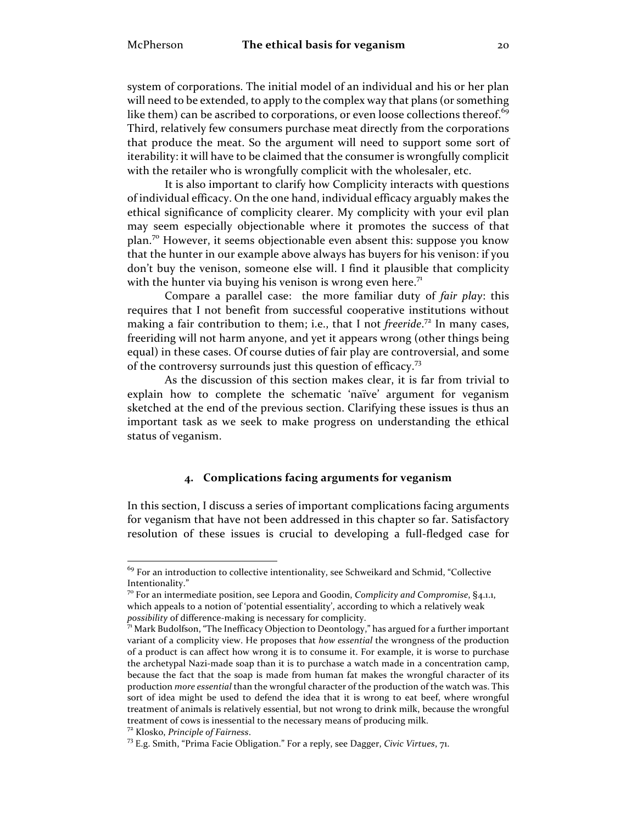system of corporations. The initial model of an individual and his or her plan will need to be extended, to apply to the complex way that plans (or something like them) can be ascribed to corporations, or even loose collections thereof. $^{69}$ Third, relatively few consumers purchase meat directly from the corporations that produce the meat. So the argument will need to support some sort of iterability: it will have to be claimed that the consumer is wrongfully complicit with the retailer who is wrongfully complicit with the wholesaler, etc.

It is also important to clarify how Complicity interacts with questions of individual efficacy. On the one hand, individual efficacy arguably makes the ethical significance of complicity clearer. My complicity with your evil plan may seem especially objectionable where it promotes the success of that plan.<sup>70</sup> However, it seems objectionable even absent this: suppose you know that the hunter in our example above always has buyers for his venison: if you don't buy the venison, someone else will. I find it plausible that complicity with the hunter via buying his venison is wrong even here.<sup>71</sup>

Compare a parallel case: the more familiar duty of *fair play*: this requires that I not benefit from successful cooperative institutions without making a fair contribution to them; i.e., that I not *freeride*. <sup>72</sup> In many cases, freeriding will not harm anyone, and yet it appears wrong (other things being equal) in these cases. Of course duties of fair play are controversial, and some of the controversy surrounds just this question of efficacy.<sup>73</sup>

As the discussion of this section makes clear, it is far from trivial to explain how to complete the schematic 'naïve' argument for veganism sketched at the end of the previous section. Clarifying these issues is thus an important task as we seek to make progress on understanding the ethical status of veganism.

## **4. Complications facing arguments for veganism**

In this section, I discuss a series of important complications facing arguments for veganism that have not been addressed in this chapter so far. Satisfactory resolution of these issues is crucial to developing a full-fledged case for

 $69$  For an introduction to collective intentionality, see Schweikard and Schmid, "Collective Intentionality."

<sup>70</sup> For an intermediate position, see Lepora and Goodin, *Complicity and Compromise*, §4.1.1, which appeals to a notion of 'potential essentiality', according to which a relatively weak *possibility* of difference-making is necessary for complicity.<br><sup>71</sup> Mark Budolfson, "The Inefficacy Objection to Deontology," has argued for a further important

variant of a complicity view. He proposes that *how essential* the wrongness of the production of a product is can affect how wrong it is to consume it. For example, it is worse to purchase the archetypal Nazi-made soap than it is to purchase a watch made in a concentration camp, because the fact that the soap is made from human fat makes the wrongful character of its production *more essential* than the wrongful character of the production of the watch was. This sort of idea might be used to defend the idea that it is wrong to eat beef, where wrongful treatment of animals is relatively essential, but not wrong to drink milk, because the wrongful treatment of cows is inessential to the necessary means of producing milk.<br><sup>72</sup> Klosko, *Principle of Fairness*.<br><sup>73</sup> E.g. Smith, "Prima Facie Obligation." For a reply, see Dagger, *Civic Virtues*, 71.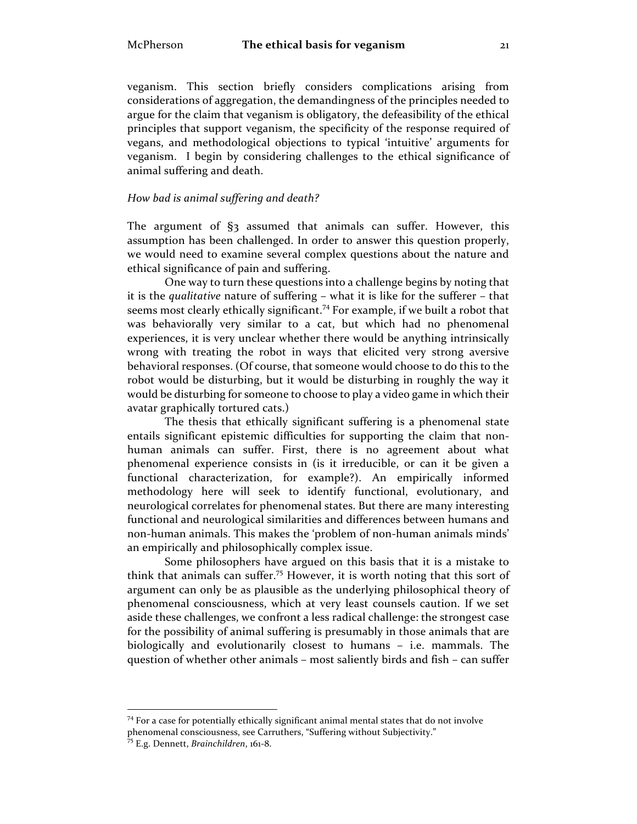veganism. This section briefly considers complications arising from considerations of aggregation, the demandingness of the principles needed to argue for the claim that veganism is obligatory, the defeasibility of the ethical principles that support veganism, the specificity of the response required of vegans, and methodological objections to typical 'intuitive' arguments for veganism. I begin by considering challenges to the ethical significance of animal suffering and death.

#### *How bad is animal suffering and death?*

The argument of §3 assumed that animals can suffer. However, this assumption has been challenged. In order to answer this question properly, we would need to examine several complex questions about the nature and ethical significance of pain and suffering.

One way to turn these questions into a challenge begins by noting that it is the *qualitative* nature of suffering – what it is like for the sufferer – that seems most clearly ethically significant.<sup>74</sup> For example, if we built a robot that was behaviorally very similar to a cat, but which had no phenomenal experiences, it is very unclear whether there would be anything intrinsically wrong with treating the robot in ways that elicited very strong aversive behavioral responses. (Of course, that someone would choose to do this to the robot would be disturbing, but it would be disturbing in roughly the way it would be disturbing for someone to choose to play a video game in which their avatar graphically tortured cats.)

The thesis that ethically significant suffering is a phenomenal state entails significant epistemic difficulties for supporting the claim that nonhuman animals can suffer. First, there is no agreement about what phenomenal experience consists in (is it irreducible, or can it be given a functional characterization, for example?). An empirically informed methodology here will seek to identify functional, evolutionary, and neurological correlates for phenomenal states. But there are many interesting functional and neurological similarities and differences between humans and non-human animals. This makes the 'problem of non-human animals minds' an empirically and philosophically complex issue.

Some philosophers have argued on this basis that it is a mistake to think that animals can suffer.<sup>75</sup> However, it is worth noting that this sort of argument can only be as plausible as the underlying philosophical theory of phenomenal consciousness, which at very least counsels caution. If we set aside these challenges, we confront a less radical challenge: the strongest case for the possibility of animal suffering is presumably in those animals that are biologically and evolutionarily closest to humans – i.e. mammals. The question of whether other animals – most saliently birds and fish – can suffer

 $74$  For a case for potentially ethically significant animal mental states that do not involve phenomenal consciousness, see Carruthers, "Suffering without Subjectivity." <sup>75</sup> E.g. Dennett, *Brainchildren*, 161-8.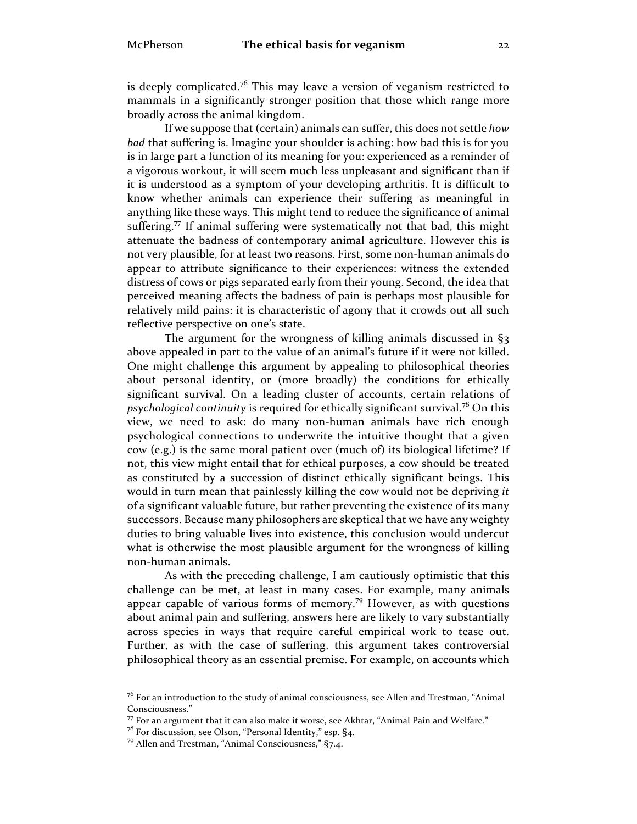is deeply complicated.<sup>76</sup> This may leave a version of veganism restricted to mammals in a significantly stronger position that those which range more broadly across the animal kingdom.

If we suppose that (certain) animals can suffer, this does not settle *how bad* that suffering is. Imagine your shoulder is aching: how bad this is for you is in large part a function of its meaning for you: experienced as a reminder of a vigorous workout, it will seem much less unpleasant and significant than if it is understood as a symptom of your developing arthritis. It is difficult to know whether animals can experience their suffering as meaningful in anything like these ways. This might tend to reduce the significance of animal suffering.<sup>77</sup> If animal suffering were systematically not that bad, this might attenuate the badness of contemporary animal agriculture. However this is not very plausible, for at least two reasons. First, some non-human animals do appear to attribute significance to their experiences: witness the extended distress of cows or pigs separated early from their young. Second, the idea that perceived meaning affects the badness of pain is perhaps most plausible for relatively mild pains: it is characteristic of agony that it crowds out all such reflective perspective on one's state.

The argument for the wrongness of killing animals discussed in §3 above appealed in part to the value of an animal's future if it were not killed. One might challenge this argument by appealing to philosophical theories about personal identity, or (more broadly) the conditions for ethically significant survival. On a leading cluster of accounts, certain relations of *psychological continuity* is required for ethically significant survival. <sup>78</sup> On this view, we need to ask: do many non-human animals have rich enough psychological connections to underwrite the intuitive thought that a given cow (e.g.) is the same moral patient over (much of) its biological lifetime? If not, this view might entail that for ethical purposes, a cow should be treated as constituted by a succession of distinct ethically significant beings. This would in turn mean that painlessly killing the cow would not be depriving *it* of a significant valuable future, but rather preventing the existence of its many successors. Because many philosophers are skeptical that we have any weighty duties to bring valuable lives into existence, this conclusion would undercut what is otherwise the most plausible argument for the wrongness of killing non-human animals.

As with the preceding challenge, I am cautiously optimistic that this challenge can be met, at least in many cases. For example, many animals appear capable of various forms of memory.<sup>79</sup> However, as with questions about animal pain and suffering, answers here are likely to vary substantially across species in ways that require careful empirical work to tease out. Further, as with the case of suffering, this argument takes controversial philosophical theory as an essential premise. For example, on accounts which

 $76$  For an introduction to the study of animal consciousness, see Allen and Trestman, "Animal Consciousness."

 $77$  For an argument that it can also make it worse, see Akhtar, "Animal Pain and Welfare."<br> $78$  For discussion, see Olson, "Personal Identity," esp. §4.

 $79$  Allen and Trestman, "Animal Consciousness," §7.4.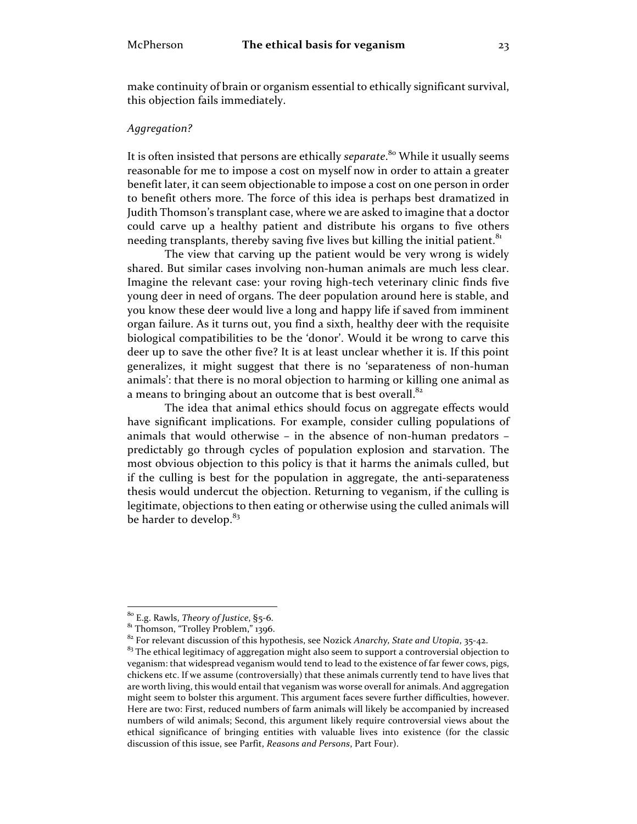make continuity of brain or organism essential to ethically significant survival, this objection fails immediately.

### *Aggregation?*

It is often insisted that persons are ethically *separate*. <sup>80</sup> While it usually seems reasonable for me to impose a cost on myself now in order to attain a greater benefit later, it can seem objectionable to impose a cost on one person in order to benefit others more. The force of this idea is perhaps best dramatized in Judith Thomson's transplant case, where we are asked to imagine that a doctor could carve up a healthy patient and distribute his organs to five others needing transplants, thereby saving five lives but killing the initial patient.<sup>81</sup>

The view that carving up the patient would be very wrong is widely shared. But similar cases involving non-human animals are much less clear. Imagine the relevant case: your roving high-tech veterinary clinic finds five young deer in need of organs. The deer population around here is stable, and you know these deer would live a long and happy life if saved from imminent organ failure. As it turns out, you find a sixth, healthy deer with the requisite biological compatibilities to be the 'donor'. Would it be wrong to carve this deer up to save the other five? It is at least unclear whether it is. If this point generalizes, it might suggest that there is no 'separateness of non-human animals': that there is no moral objection to harming or killing one animal as a means to bringing about an outcome that is best overall. $82$ 

The idea that animal ethics should focus on aggregate effects would have significant implications. For example, consider culling populations of animals that would otherwise – in the absence of non-human predators – predictably go through cycles of population explosion and starvation. The most obvious objection to this policy is that it harms the animals culled, but if the culling is best for the population in aggregate, the anti-separateness thesis would undercut the objection. Returning to veganism, if the culling is legitimate, objections to then eating or otherwise using the culled animals will be harder to develop.<sup>83</sup>

<sup>&</sup>lt;sup>80</sup> E.g. Rawls, *Theory of Justice*, §5-6.<br><sup>81</sup> Thomson, "Trolley Problem," 1396.<br><sup>82</sup> For relevant discussion of this hypothesis, see Nozick *Anarchy, State and Utopia*, 35-42.

 $83$  The ethical legitimacy of aggregation might also seem to support a controversial objection to veganism: that widespread veganism would tend to lead to the existence of far fewer cows, pigs, chickens etc. If we assume (controversially) that these animals currently tend to have lives that are worth living, this would entail that veganism was worse overall for animals. And aggregation might seem to bolster this argument. This argument faces severe further difficulties, however. Here are two: First, reduced numbers of farm animals will likely be accompanied by increased numbers of wild animals; Second, this argument likely require controversial views about the ethical significance of bringing entities with valuable lives into existence (for the classic discussion of this issue, see Parfit, *Reasons and Persons*, Part Four).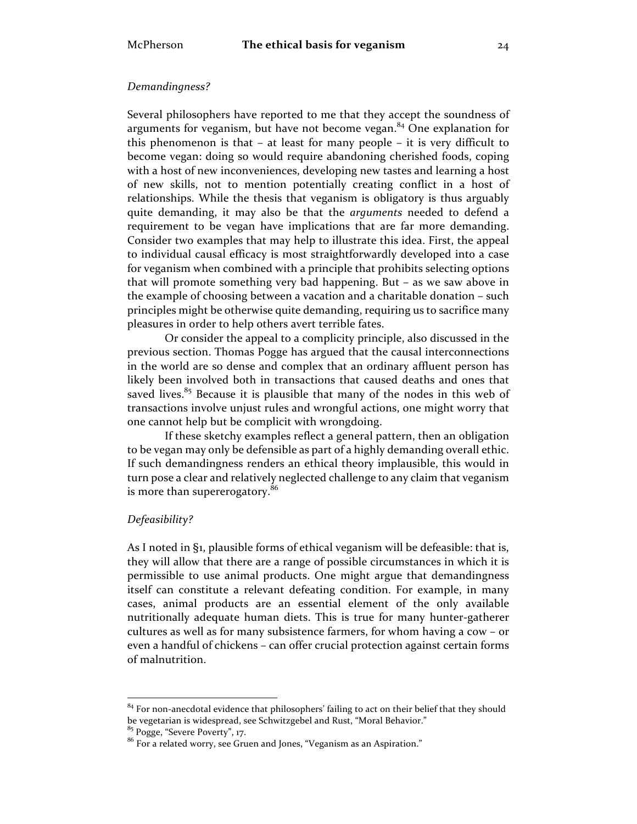# *Demandingness?*

Several philosophers have reported to me that they accept the soundness of arguments for veganism, but have not become vegan. $84$  One explanation for this phenomenon is that – at least for many people – it is very difficult to become vegan: doing so would require abandoning cherished foods, coping with a host of new inconveniences, developing new tastes and learning a host of new skills, not to mention potentially creating conflict in a host of relationships. While the thesis that veganism is obligatory is thus arguably quite demanding, it may also be that the *arguments* needed to defend a requirement to be vegan have implications that are far more demanding. Consider two examples that may help to illustrate this idea. First, the appeal to individual causal efficacy is most straightforwardly developed into a case for veganism when combined with a principle that prohibits selecting options that will promote something very bad happening. But – as we saw above in the example of choosing between a vacation and a charitable donation – such principles might be otherwise quite demanding, requiring us to sacrifice many pleasures in order to help others avert terrible fates.

Or consider the appeal to a complicity principle, also discussed in the previous section. Thomas Pogge has argued that the causal interconnections in the world are so dense and complex that an ordinary affluent person has likely been involved both in transactions that caused deaths and ones that saved lives.<sup>85</sup> Because it is plausible that many of the nodes in this web of transactions involve unjust rules and wrongful actions, one might worry that one cannot help but be complicit with wrongdoing.

If these sketchy examples reflect a general pattern, then an obligation to be vegan may only be defensible as part of a highly demanding overall ethic. If such demandingness renders an ethical theory implausible, this would in turn pose a clear and relatively neglected challenge to any claim that veganism is more than supererogatory.<sup>86</sup>

#### *Defeasibility?*

As I noted in §1, plausible forms of ethical veganism will be defeasible: that is, they will allow that there are a range of possible circumstances in which it is permissible to use animal products. One might argue that demandingness itself can constitute a relevant defeating condition. For example, in many cases, animal products are an essential element of the only available nutritionally adequate human diets. This is true for many hunter-gatherer cultures as well as for many subsistence farmers, for whom having a cow – or even a handful of chickens – can offer crucial protection against certain forms of malnutrition.

 $84$  For non-anecdotal evidence that philosophers' failing to act on their belief that they should<br>be vegetarian is widespread, see Schwitzgebel and Rust, "Moral Behavior."

 $\frac{85}{3}$  Pogge, "Severe Poverty", 17. 86  $\frac{1}{2}$ . 85  $\frac{1}{2}$  Pogge, "Veganism as an Aspiration."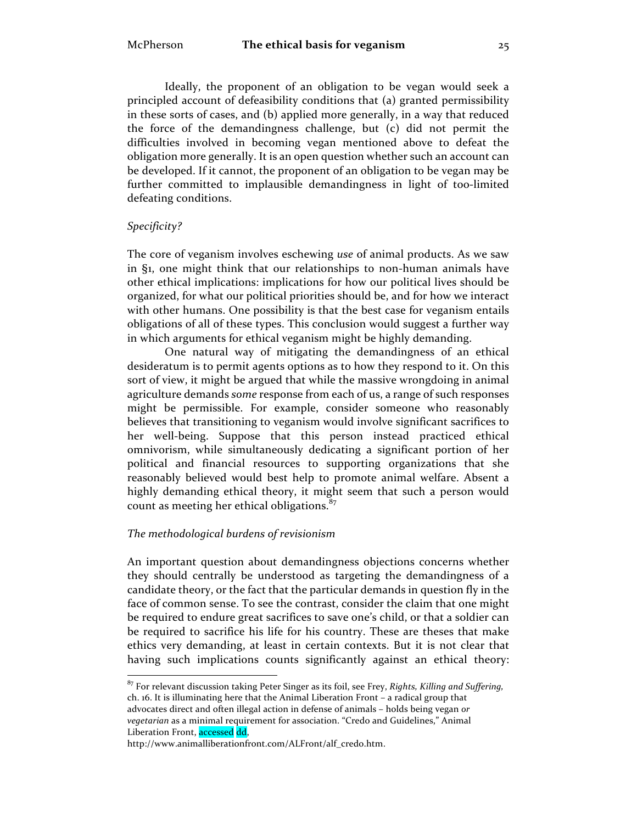Ideally, the proponent of an obligation to be vegan would seek a principled account of defeasibility conditions that (a) granted permissibility in these sorts of cases, and (b) applied more generally, in a way that reduced the force of the demandingness challenge, but (c) did not permit the difficulties involved in becoming vegan mentioned above to defeat the obligation more generally. It is an open question whether such an account can be developed. If it cannot, the proponent of an obligation to be vegan may be further committed to implausible demandingness in light of too-limited defeating conditions.

#### *Specificity?*

The core of veganism involves eschewing *use* of animal products. As we saw in §1, one might think that our relationships to non-human animals have other ethical implications: implications for how our political lives should be organized, for what our political priorities should be, and for how we interact with other humans. One possibility is that the best case for veganism entails obligations of all of these types. This conclusion would suggest a further way in which arguments for ethical veganism might be highly demanding.

One natural way of mitigating the demandingness of an ethical desideratum is to permit agents options as to how they respond to it. On this sort of view, it might be argued that while the massive wrongdoing in animal agriculture demands *some* response from each of us, a range of such responses might be permissible. For example, consider someone who reasonably believes that transitioning to veganism would involve significant sacrifices to her well-being. Suppose that this person instead practiced ethical omnivorism, while simultaneously dedicating a significant portion of her political and financial resources to supporting organizations that she reasonably believed would best help to promote animal welfare. Absent a highly demanding ethical theory, it might seem that such a person would count as meeting her ethical obligations.<sup>87</sup>

# *The methodological burdens of revisionism*

An important question about demandingness objections concerns whether they should centrally be understood as targeting the demandingness of a candidate theory, or the fact that the particular demands in question fly in the face of common sense. To see the contrast, consider the claim that one might be required to endure great sacrifices to save one's child, or that a soldier can be required to sacrifice his life for his country. These are theses that make ethics very demanding, at least in certain contexts. But it is not clear that having such implications counts significantly against an ethical theory:

 <sup>87</sup> For relevant discussion taking Peter Singer as its foil, see Frey, *Rights, Killing and Suffering,*  ch. 16. It is illuminating here that the Animal Liberation Front – a radical group that advocates direct and often illegal action in defense of animals – holds being vegan *or vegetarian* as a minimal requirement for association. "Credo and Guidelines," Animal Liberation Front, accessed dd,

http://www.animalliberationfront.com/ALFront/alf\_credo.htm.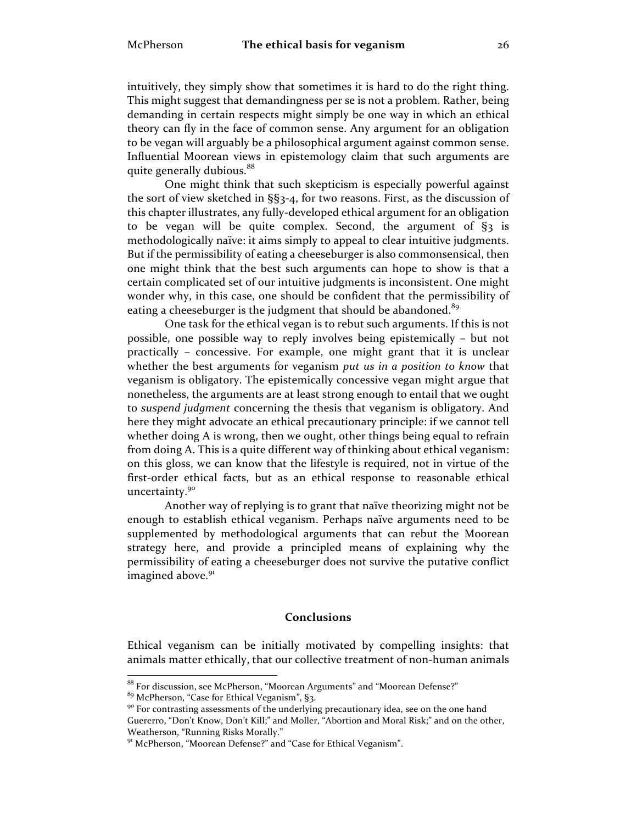intuitively, they simply show that sometimes it is hard to do the right thing. This might suggest that demandingness per se is not a problem. Rather, being demanding in certain respects might simply be one way in which an ethical theory can fly in the face of common sense. Any argument for an obligation to be vegan will arguably be a philosophical argument against common sense. Influential Moorean views in epistemology claim that such arguments are quite generally dubious.<sup>88</sup>

One might think that such skepticism is especially powerful against the sort of view sketched in §§3-4, for two reasons. First, as the discussion of this chapter illustrates, any fully-developed ethical argument for an obligation to be vegan will be quite complex. Second, the argument of §3 is methodologically naïve: it aims simply to appeal to clear intuitive judgments. But if the permissibility of eating a cheeseburger is also commonsensical, then one might think that the best such arguments can hope to show is that a certain complicated set of our intuitive judgments is inconsistent. One might wonder why, in this case, one should be confident that the permissibility of eating a cheeseburger is the judgment that should be abandoned.<sup>89</sup>

One task for the ethical vegan is to rebut such arguments. If this is not possible, one possible way to reply involves being epistemically – but not practically – concessive. For example, one might grant that it is unclear whether the best arguments for veganism *put us in a position to know* that veganism is obligatory. The epistemically concessive vegan might argue that nonetheless, the arguments are at least strong enough to entail that we ought to *suspend judgment* concerning the thesis that veganism is obligatory. And here they might advocate an ethical precautionary principle: if we cannot tell whether doing A is wrong, then we ought, other things being equal to refrain from doing A. This is a quite different way of thinking about ethical veganism: on this gloss, we can know that the lifestyle is required, not in virtue of the first-order ethical facts, but as an ethical response to reasonable ethical uncertainty.<sup>90</sup>

Another way of replying is to grant that naïve theorizing might not be enough to establish ethical veganism. Perhaps naïve arguments need to be supplemented by methodological arguments that can rebut the Moorean strategy here, and provide a principled means of explaining why the permissibility of eating a cheeseburger does not survive the putative conflict imagined above.<sup>91</sup>

# **Conclusions**

Ethical veganism can be initially motivated by compelling insights: that animals matter ethically, that our collective treatment of non-human animals

 $^{88}$  For discussion, see McPherson, "Moorean Arguments" and "Moorean Defense?"  $^{89}$  McPherson, "Case for Ethical Veganism", §3.

<sup>&</sup>lt;sup>90</sup> For contrasting assessments of the underlying precautionary idea, see on the one hand Guererro, "Don't Know, Don't Kill;" and Moller, "Abortion and Moral Risk;" and on the other, Weatherson, "Running Risks Morally."<br><sup>91</sup> McPherson, "Moorean Defense?" and "Case for Ethical Veganism".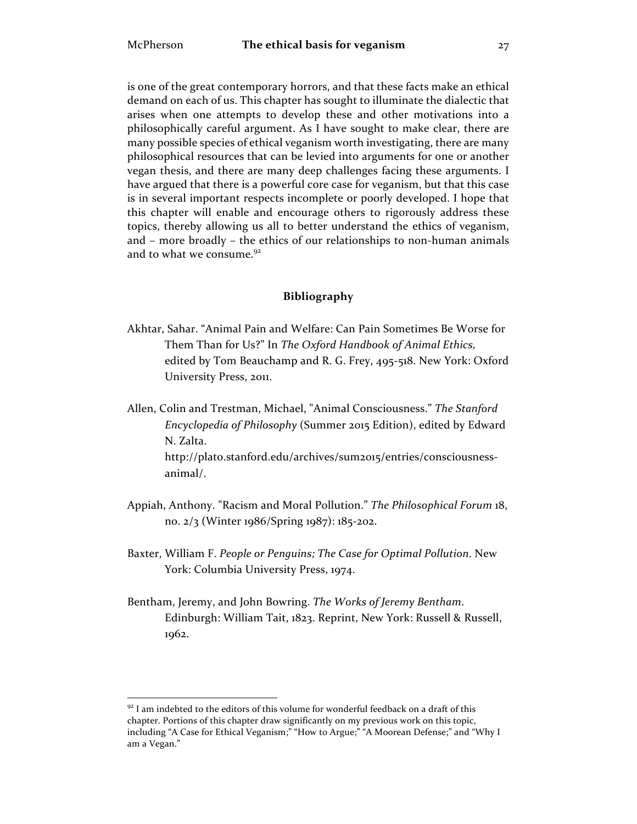is one of the great contemporary horrors, and that these facts make an ethical demand on each of us. This chapter has sought to illuminate the dialectic that arises when one attempts to develop these and other motivations into a philosophically careful argument. As I have sought to make clear, there are many possible species of ethical veganism worth investigating, there are many philosophical resources that can be levied into arguments for one or another vegan thesis, and there are many deep challenges facing these arguments. I have argued that there is a powerful core case for veganism, but that this case is in several important respects incomplete or poorly developed. I hope that this chapter will enable and encourage others to rigorously address these topics, thereby allowing us all to better understand the ethics of veganism, and – more broadly – the ethics of our relationships to non-human animals and to what we consume.<sup>92</sup>

# **Bibliography**

- Akhtar, Sahar. "Animal Pain and Welfare: Can Pain Sometimes Be Worse for Them Than for Us?" In *The Oxford Handbook of Animal Ethics,*  edited by Tom Beauchamp and R. G. Frey, 495-518. New York: Oxford University Press, 2011.
- Allen, Colin and Trestman, Michael, "Animal Consciousness." *The Stanford Encyclopedia of Philosophy* (Summer 2015 Edition), edited by Edward N. Zalta. http://plato.stanford.edu/archives/sum2015/entries/consciousnessanimal/.
- Appiah, Anthony. "Racism and Moral Pollution." *The Philosophical Forum* 18, no. 2/3 (Winter 1986/Spring 1987): 185-202.
- Baxter, William F. *People or Penguins; The Case for Optimal Pollution*. New York: Columbia University Press, 1974.
- Bentham, Jeremy, and John Bowring. *The Works of Jeremy Bentham*. Edinburgh: William Tait, 1823. Reprint, New York: Russell & Russell, 1962.

 $92$  I am indebted to the editors of this volume for wonderful feedback on a draft of this chapter. Portions of this chapter draw significantly on my previous work on this topic, including "A Case for Ethical Veganism;" "How to Argue;" "A Moorean Defense;" and "Why I am a Vegan."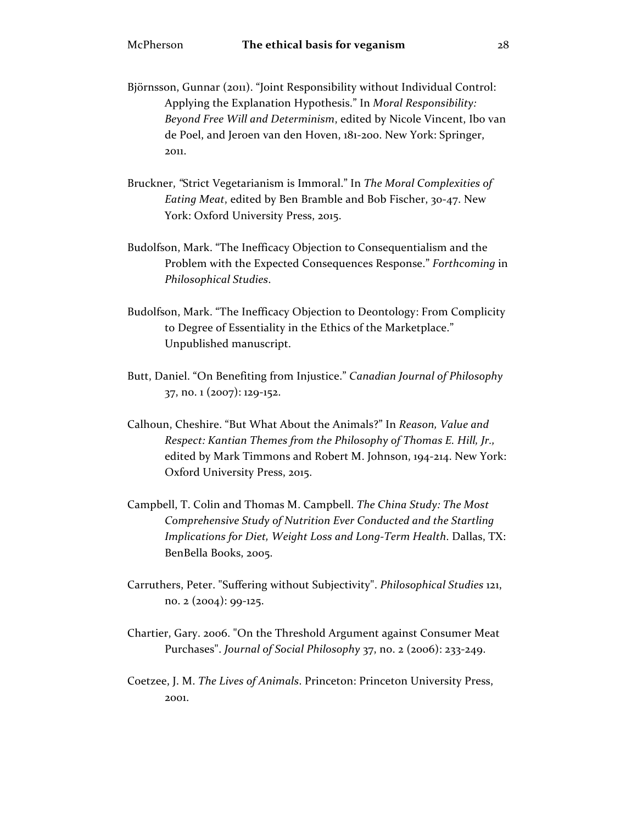- Björnsson, Gunnar (2011). "Joint Responsibility without Individual Control: Applying the Explanation Hypothesis." In *Moral Responsibility: Beyond Free Will and Determinism*, edited by Nicole Vincent, Ibo van de Poel, and Jeroen van den Hoven, 181-200. New York: Springer, 2011.
- Bruckner, *"*Strict Vegetarianism is Immoral." In *The Moral Complexities of Eating Meat*, edited by Ben Bramble and Bob Fischer, 30-47. New York: Oxford University Press, 2015.
- Budolfson, Mark. "The Inefficacy Objection to Consequentialism and the Problem with the Expected Consequences Response." *Forthcoming* in *Philosophical Studies*.
- Budolfson, Mark. "The Inefficacy Objection to Deontology: From Complicity to Degree of Essentiality in the Ethics of the Marketplace." Unpublished manuscript.
- Butt, Daniel. "On Benefiting from Injustice." *Canadian Journal of Philosophy* 37, no. 1 (2007): 129-152.
- Calhoun, Cheshire. "But What About the Animals?" In *Reason, Value and Respect: Kantian Themes from the Philosophy of Thomas E. Hill, Jr.,*  edited by Mark Timmons and Robert M. Johnson, 194-214. New York: Oxford University Press, 2015.
- Campbell, T. Colin and Thomas M. Campbell. *The China Study: The Most Comprehensive Study of Nutrition Ever Conducted and the Startling Implications for Diet, Weight Loss and Long-Term Health*. Dallas, TX: BenBella Books, 2005.
- Carruthers, Peter. "Suffering without Subjectivity". *Philosophical Studies* 121, no. 2 (2004): 99-125.
- Chartier, Gary. 2006. "On the Threshold Argument against Consumer Meat Purchases". *Journal of Social Philosophy* 37, no. 2 (2006): 233-249.
- Coetzee, J. M. *The Lives of Animals*. Princeton: Princeton University Press, 2001.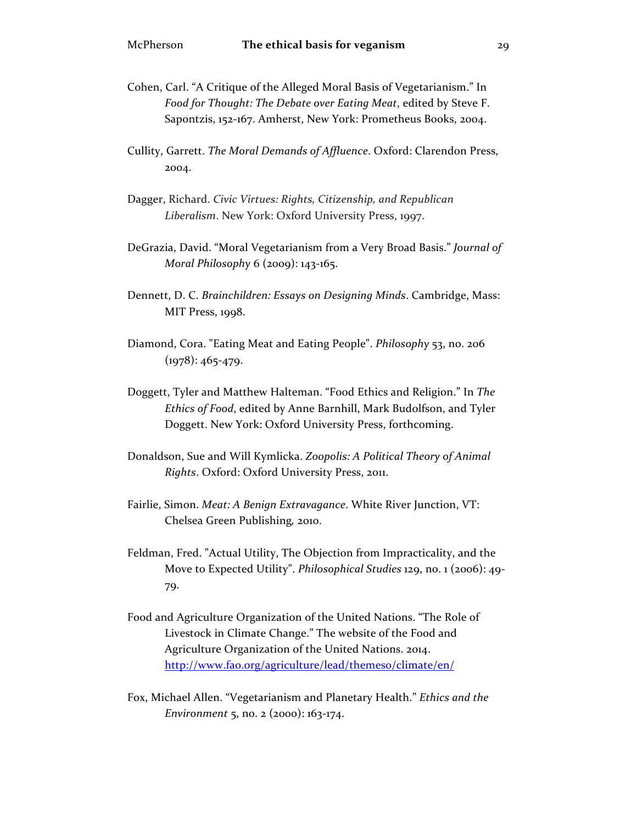- Cohen, Carl. "A Critique of the Alleged Moral Basis of Vegetarianism." In *Food for Thought: The Debate over Eating Meat*, edited by Steve F. Sapontzis, 152-167. Amherst, New York: Prometheus Books, 2004.
- Cullity, Garrett. *The Moral Demands of Affluence*. Oxford: Clarendon Press, 2004.
- Dagger, Richard. *Civic Virtues: Rights, Citizenship, and Republican Liberalism*. New York: Oxford University Press, 1997.
- DeGrazia, David. "Moral Vegetarianism from a Very Broad Basis." *Journal of Moral Philosophy* 6 (2009): 143-165.
- Dennett, D. C. *Brainchildren: Essays on Designing Minds*. Cambridge, Mass: MIT Press, 1998.
- Diamond, Cora. "Eating Meat and Eating People". *Philosophy* 53, no. 206  $(1978): 465 - 479.$
- Doggett, Tyler and Matthew Halteman. "Food Ethics and Religion." In *The Ethics of Food*, edited by Anne Barnhill, Mark Budolfson, and Tyler Doggett. New York: Oxford University Press, forthcoming.
- Donaldson, Sue and Will Kymlicka. *Zoopolis: A Political Theory of Animal Rights*. Oxford: Oxford University Press, 2011.
- Fairlie, Simon. *Meat: A Benign Extravagance*. White River Junction, VT: Chelsea Green Publishing*,* 2010.
- Feldman, Fred. "Actual Utility, The Objection from Impracticality, and the Move to Expected Utility". *Philosophical Studies* 129, no. 1 (2006): 49- 79.
- Food and Agriculture Organization of the United Nations. "The Role of Livestock in Climate Change." The website of the Food and Agriculture Organization of the United Nations. 2014. http://www.fao.org/agriculture/lead/themeso/climate/en/
- Fox, Michael Allen. "Vegetarianism and Planetary Health." *Ethics and the Environment* 5, no. 2 (2000): 163-174.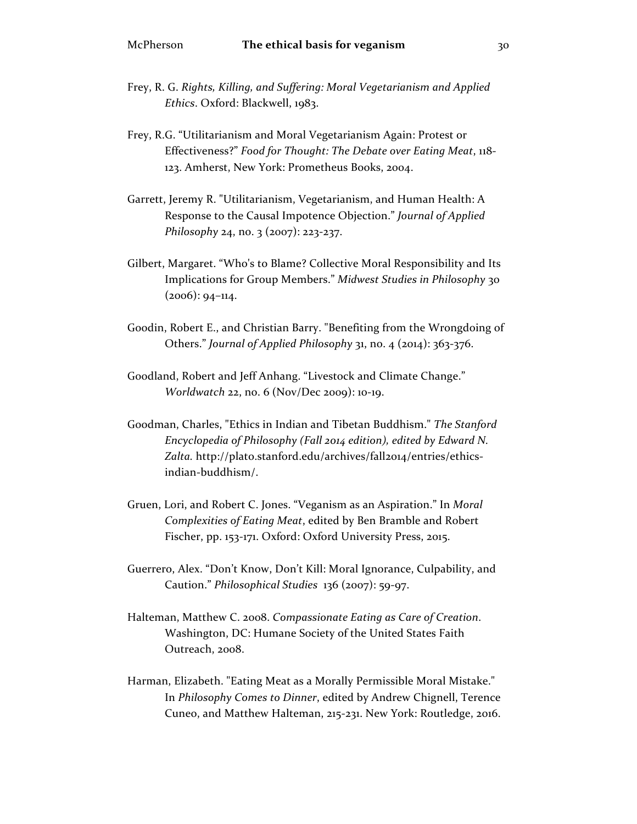- Frey, R. G. *Rights, Killing, and Suffering: Moral Vegetarianism and Applied Ethics*. Oxford: Blackwell, 1983.
- Frey, R.G. "Utilitarianism and Moral Vegetarianism Again: Protest or Effectiveness?" *Food for Thought: The Debate over Eating Meat*, 118- 123. Amherst, New York: Prometheus Books, 2004.
- Garrett, Jeremy R. "Utilitarianism, Vegetarianism, and Human Health: A Response to the Causal Impotence Objection." *Journal of Applied Philosophy* 24, no. 3 (2007): 223-237.
- Gilbert, Margaret. "Who's to Blame? Collective Moral Responsibility and Its Implications for Group Members." *Midwest Studies in Philosophy* 30  $(2006): 94-114.$
- Goodin, Robert E., and Christian Barry. "Benefiting from the Wrongdoing of Others." *Journal of Applied Philosophy* 31, no. 4 (2014): 363-376.
- Goodland, Robert and Jeff Anhang. "Livestock and Climate Change." *Worldwatch* 22, no. 6 (Nov/Dec 2009): 10-19.
- Goodman, Charles, "Ethics in Indian and Tibetan Buddhism." *The Stanford Encyclopedia of Philosophy (Fall 2014 edition), edited by Edward N.*  Zalta. http://plato.stanford.edu/archives/fall2014/entries/ethicsindian-buddhism/.
- Gruen, Lori, and Robert C. Jones. "Veganism as an Aspiration." In *Moral Complexities of Eating Meat*, edited by Ben Bramble and Robert Fischer, pp. 153-171. Oxford: Oxford University Press, 2015.
- Guerrero, Alex. "Don't Know, Don't Kill: Moral Ignorance, Culpability, and Caution." *Philosophical Studies* 136 (2007): 59-97.
- Halteman, Matthew C. 2008. *Compassionate Eating as Care of Creation*. Washington, DC: Humane Society of the United States Faith Outreach, 2008.
- Harman, Elizabeth. "Eating Meat as a Morally Permissible Moral Mistake." In *Philosophy Comes to Dinner*, edited by Andrew Chignell, Terence Cuneo, and Matthew Halteman, 215-231. New York: Routledge, 2016.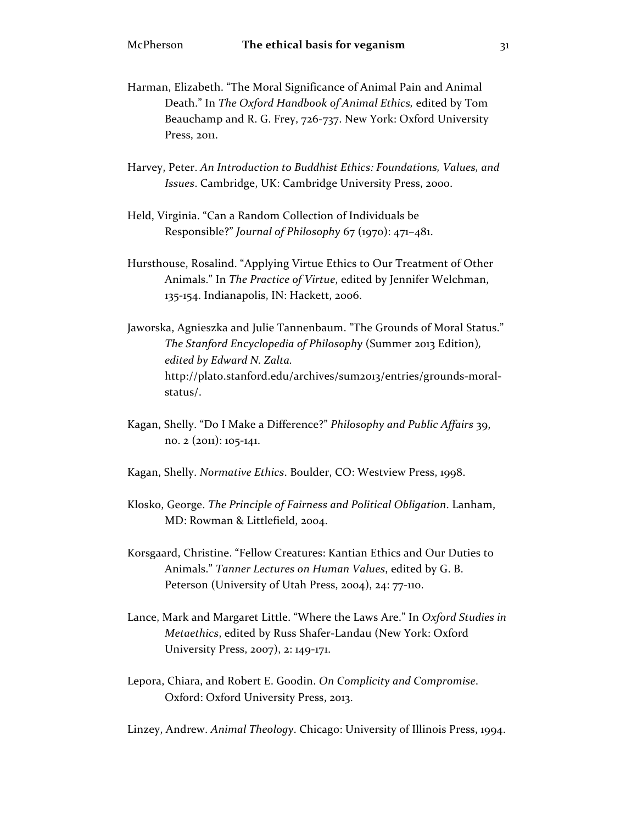- Harman, Elizabeth. "The Moral Significance of Animal Pain and Animal Death." In *The Oxford Handbook of Animal Ethics,* edited by Tom Beauchamp and R. G. Frey, 726-737. New York: Oxford University Press, 2011.
- Harvey, Peter. *An Introduction to Buddhist Ethics: Foundations, Values, and Issues*. Cambridge, UK: Cambridge University Press, 2000.
- Held, Virginia. "Can a Random Collection of Individuals be Responsible?" *Journal of Philosophy* 67 (1970): 471–481.
- Hursthouse, Rosalind. "Applying Virtue Ethics to Our Treatment of Other Animals." In *The Practice of Virtue*, edited by Jennifer Welchman, 135-154. Indianapolis, IN: Hackett, 2006.
- Jaworska, Agnieszka and Julie Tannenbaum. "The Grounds of Moral Status." *The Stanford Encyclopedia of Philosophy* (Summer 2013 Edition)*, edited by Edward N. Zalta.*  http://plato.stanford.edu/archives/sum2013/entries/grounds-moralstatus/.
- Kagan, Shelly. "Do I Make a Difference?" *Philosophy and Public Affairs* 39, no. 2 (2011): 105-141.
- Kagan, Shelly. *Normative Ethics*. Boulder, CO: Westview Press, 1998.
- Klosko, George. *The Principle of Fairness and Political Obligation*. Lanham, MD: Rowman & Littlefield, 2004.
- Korsgaard, Christine. "Fellow Creatures: Kantian Ethics and Our Duties to Animals." *Tanner Lectures on Human Values*, edited by G. B. Peterson (University of Utah Press, 2004), 24: 77-110.
- Lance, Mark and Margaret Little. "Where the Laws Are." In *Oxford Studies in Metaethics*, edited by Russ Shafer-Landau (New York: Oxford University Press, 2007), 2: 149-171.
- Lepora, Chiara, and Robert E. Goodin. *On Complicity and Compromise*. Oxford: Oxford University Press, 2013.

Linzey, Andrew. *Animal Theology*. Chicago: University of Illinois Press, 1994.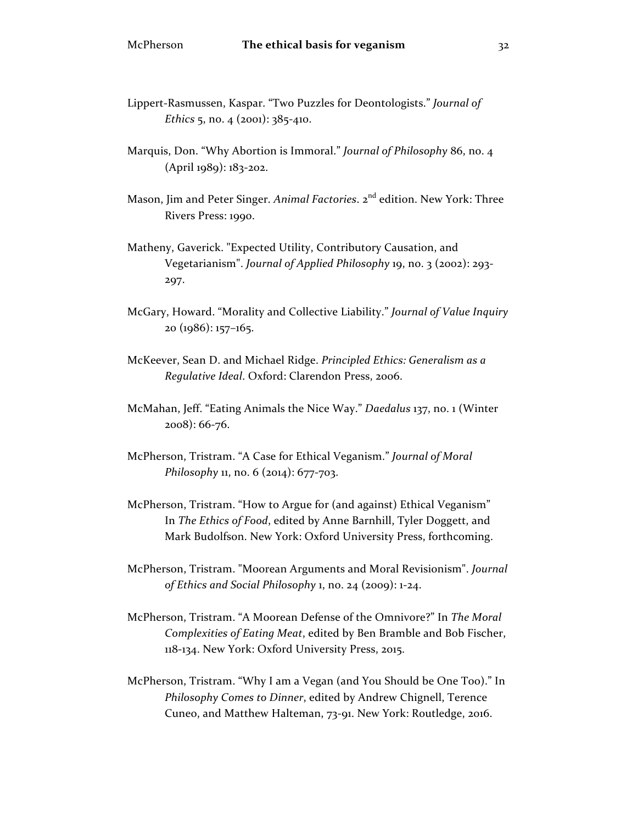- Lippert-Rasmussen, Kaspar. "Two Puzzles for Deontologists." *Journal of Ethics* 5, no. 4 (2001): 385-410.
- Marquis, Don. "Why Abortion is Immoral." *Journal of Philosophy* 86, no. 4 (April 1989): 183-202.
- Mason, Jim and Peter Singer. *Animal Factories*. 2<sup>nd</sup> edition. New York: Three Rivers Press: 1990.
- Matheny, Gaverick. "Expected Utility, Contributory Causation, and Vegetarianism". *Journal of Applied Philosophy* 19, no. 3 (2002): 293- 297.
- McGary, Howard. "Morality and Collective Liability." *Journal of Value Inquiry* 20 (1986): 157–165.
- McKeever, Sean D. and Michael Ridge. *Principled Ethics: Generalism as a Regulative Ideal*. Oxford: Clarendon Press, 2006.
- McMahan, Jeff. "Eating Animals the Nice Way." *Daedalus* 137, no. 1 (Winter 2008): 66-76.
- McPherson, Tristram. "A Case for Ethical Veganism." *Journal of Moral Philosophy* 11, no. 6 (2014): 677-703.
- McPherson, Tristram. "How to Argue for (and against) Ethical Veganism" In *The Ethics of Food*, edited by Anne Barnhill, Tyler Doggett, and Mark Budolfson. New York: Oxford University Press, forthcoming.
- McPherson, Tristram. "Moorean Arguments and Moral Revisionism". *Journal of Ethics and Social Philosophy* 1, no. 24 (2009): 1-24.
- McPherson, Tristram. "A Moorean Defense of the Omnivore?" In *The Moral Complexities of Eating Meat*, edited by Ben Bramble and Bob Fischer, 118-134. New York: Oxford University Press, 2015.
- McPherson, Tristram. "Why I am a Vegan (and You Should be One Too)." In *Philosophy Comes to Dinner*, edited by Andrew Chignell, Terence Cuneo, and Matthew Halteman, 73-91. New York: Routledge, 2016.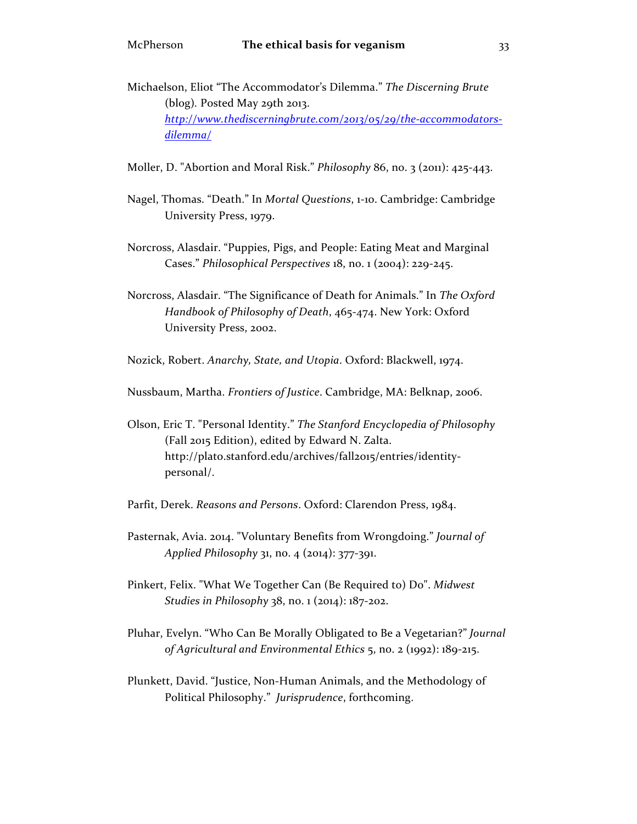- Michaelson, Eliot "The Accommodator's Dilemma." *The Discerning Brute* (blog)*.* Posted May 29th 2013. *http://www.thediscerningbrute.com/2013/05/29/the-accommodatorsdilemma/*
- Moller, D. "Abortion and Moral Risk." *Philosophy* 86, no. 3 (2011): 425-443.
- Nagel, Thomas. "Death." In *Mortal Questions*, 1-10. Cambridge: Cambridge University Press, 1979.
- Norcross, Alasdair. "Puppies, Pigs, and People: Eating Meat and Marginal Cases." *Philosophical Perspectives* 18, no. 1 (2004): 229-245.
- Norcross, Alasdair. "The Significance of Death for Animals." In *The Oxford Handbook of Philosophy of Death*, 465-474. New York: Oxford University Press, 2002.

Nozick, Robert. *Anarchy, State, and Utopia*. Oxford: Blackwell, 1974.

Nussbaum, Martha. *Frontiers of Justice*. Cambridge, MA: Belknap, 2006.

- Olson, Eric T. "Personal Identity." *The Stanford Encyclopedia of Philosophy*  (Fall 2015 Edition), edited by Edward N. Zalta. http://plato.stanford.edu/archives/fall2015/entries/identitypersonal/.
- Parfit, Derek. *Reasons and Persons*. Oxford: Clarendon Press, 1984.
- Pasternak, Avia. 2014. "Voluntary Benefits from Wrongdoing." *Journal of Applied Philosophy* 31, no. 4 (2014): 377-391.
- Pinkert, Felix. "What We Together Can (Be Required to) Do". *Midwest Studies in Philosophy* 38, no. 1 (2014): 187-202.
- Pluhar, Evelyn. "Who Can Be Morally Obligated to Be a Vegetarian?" *Journal of Agricultural and Environmental Ethics* 5, no. 2 (1992): 189-215.
- Plunkett, David. "Justice, Non-Human Animals, and the Methodology of Political Philosophy." *Jurisprudence*, forthcoming.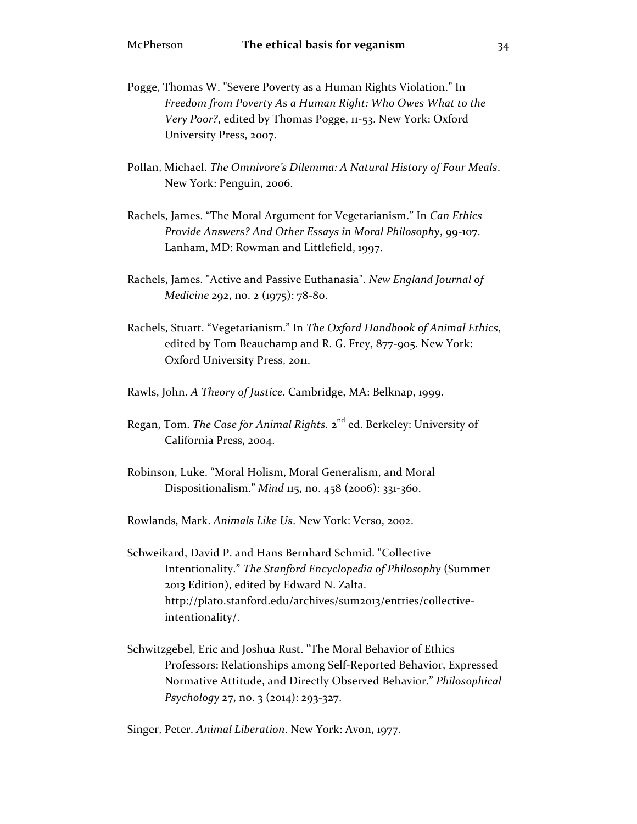- Pogge, Thomas W. "Severe Poverty as a Human Rights Violation." In *Freedom from Poverty As a Human Right: Who Owes What to the Very Poor?*, edited by Thomas Pogge, 11-53. New York: Oxford University Press, 2007.
- Pollan, Michael. *The Omnivore's Dilemma: A Natural History of Four Meals*. New York: Penguin, 2006.
- Rachels, James. "The Moral Argument for Vegetarianism." In *Can Ethics Provide Answers? And Other Essays in Moral Philosophy*, 99-107. Lanham, MD: Rowman and Littlefield, 1997.
- Rachels, James. "Active and Passive Euthanasia". *New England Journal of Medicine* 292, no. 2 (1975): 78-80.
- Rachels, Stuart. "Vegetarianism." In *The Oxford Handbook of Animal Ethics*, edited by Tom Beauchamp and R. G. Frey, 877-905. New York: Oxford University Press, 2011.
- Rawls, John. *A Theory of Justice*. Cambridge, MA: Belknap, 1999.
- Regan, Tom. *The Case for Animal Rights.* 2nd ed. Berkeley: University of California Press, 2004.
- Robinson, Luke. "Moral Holism, Moral Generalism, and Moral Dispositionalism." *Mind* 115, no. 458 (2006): 331-360.
- Rowlands, Mark. *Animals Like Us*. New York: Verso, 2002.
- Schweikard, David P. and Hans Bernhard Schmid. "Collective Intentionality." *The Stanford Encyclopedia of Philosophy* (Summer 2013 Edition), edited by Edward N. Zalta. http://plato.stanford.edu/archives/sum2013/entries/collectiveintentionality/.
- Schwitzgebel, Eric and Joshua Rust. "The Moral Behavior of Ethics Professors: Relationships among Self-Reported Behavior, Expressed Normative Attitude, and Directly Observed Behavior." *Philosophical Psychology* 27, no. 3 (2014): 293-327.

Singer, Peter. *Animal Liberation*. New York: Avon, 1977.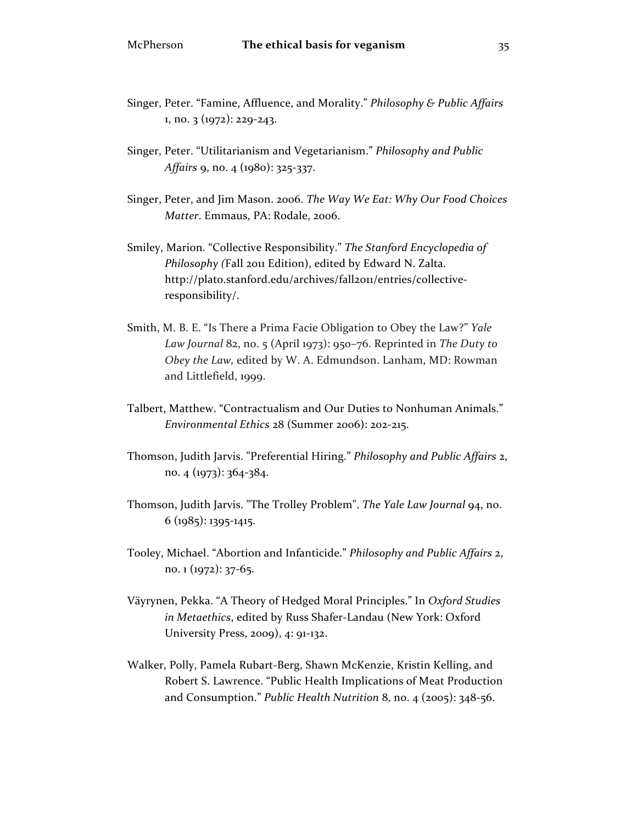- Singer, Peter. "Famine, Affluence, and Morality." *Philosophy & Public Affairs* 1, no. 3 (1972): 229-243.
- Singer, Peter. "Utilitarianism and Vegetarianism." *Philosophy and Public Affairs* 9, no. 4 (1980): 325-337.
- Singer, Peter, and Jim Mason. 2006. *The Way We Eat: Why Our Food Choices Matter*. Emmaus, PA: Rodale, 2006.
- Smiley, Marion. "Collective Responsibility." *The Stanford Encyclopedia of Philosophy (*Fall 2011 Edition), edited by Edward N. Zalta. http://plato.stanford.edu/archives/fall2011/entries/collectiveresponsibility/.
- Smith, M. B. E. "Is There a Prima Facie Obligation to Obey the Law?" *Yale Law Journal* 82, no. 5 (April 1973): 950–76. Reprinted in *The Duty to Obey the Law,* edited by W. A. Edmundson. Lanham, MD: Rowman and Littlefield, 1999.
- Talbert, Matthew. "Contractualism and Our Duties to Nonhuman Animals." *Environmental Ethics* 28 (Summer 2006): 202-215.
- Thomson, Judith Jarvis. "Preferential Hiring." *Philosophy and Public Affairs* 2, no. 4 (1973): 364-384.
- Thomson, Judith Jarvis. "The Trolley Problem". *The Yale Law Journal* 94, no.  $6$  (1985): 1395-1415.
- Tooley, Michael. "Abortion and Infanticide." *Philosophy and Public Affairs* 2, no. 1 (1972): 37-65.
- Väyrynen, Pekka. "A Theory of Hedged Moral Principles." In *Oxford Studies in Metaethics*, edited by Russ Shafer-Landau (New York: Oxford University Press, 2009), 4: 91-132.
- Walker, Polly, Pamela Rubart-Berg, Shawn McKenzie, Kristin Kelling, and Robert S. Lawrence. "Public Health Implications of Meat Production and Consumption." *Public Health Nutrition* 8, no. 4 (2005): 348-56.